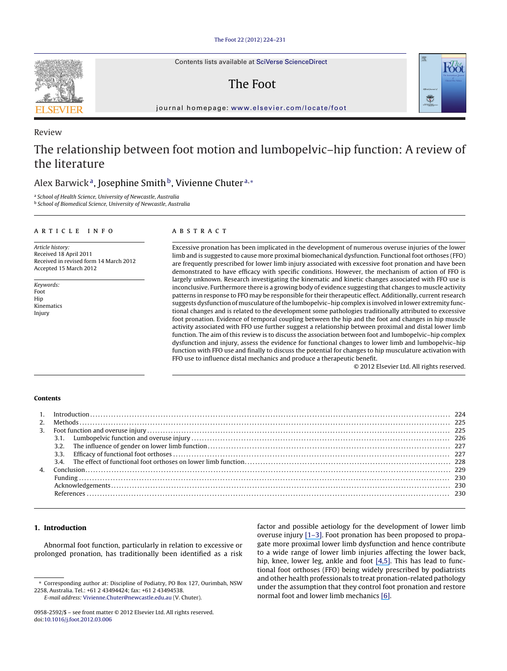Contents lists available at SciVerse [ScienceDirect](http://www.sciencedirect.com/science/journal/09582592)

## The Foot



jour nal homepage: [www.elsevier.com/locate/foot](http://www.elsevier.com/locate/foot)

# The relationship between foot motion and lumbopelvic–hip function: A review of the literature

### Alex Barwick<sup>a</sup>, Josephine Smith<sup>b</sup>, Vivienne Chuter<sup>a,\*</sup>

<sup>a</sup> School of Health Science, University of Newcastle, Australia

<sup>b</sup> School of Biomedical Science, University of Newcastle, Australia

#### a r t i c l e i n f o

Article history: Received 18 April 2011 Received in revised form 14 March 2012 Accepted 15 March 2012

Keywords: Foot Hip Kinematics Injury

#### A B S T R A C T

Excessive pronation has been implicated in the development of numerous overuse injuries of the lower limb and is suggested to cause more proximal biomechanical dysfunction. Functional foot orthoses (FFO) are frequently prescribed for lower limb injury associated with excessive foot pronation and have been demonstrated to have efficacy with specific conditions. However, the mechanism of action of FFO is largely unknown. Research investigating the kinematic and kinetic changes associated with FFO use is inconclusive. Furthermore there is a growing body of evidence suggesting that changes to muscle activity patterns in response to FFO may be responsible for their therapeutic effect. Additionally, current research suggests dysfunction of musculature of the lumbopelvic–hip complex is involved in lower extremity functional changes and is related to the development some pathologies traditionally attributed to excessive foot pronation. Evidence of temporal coupling between the hip and the foot and changes in hip muscle activity associated with FFO use further suggest a relationship between proximal and distal lower limb function. The aim of this review is to discuss the association between foot and lumbopelvic–hip complex dysfunction and injury, assess the evidence for functional changes to lower limb and lumbopelvic–hip function with FFO use and finally to discuss the potential for changes to hip musculature activation with FFO use to influence distal mechanics and produce a therapeutic benefit.

© 2012 Elsevier Ltd. All rights reserved.

#### **Contents**

#### **1. Introduction**

Abnormal foot function, particularly in relation to excessive or prolonged pronation, has traditionally been identified as a risk factor and possible aetiology for the development of lower limb overuse injury [\[1](https://www.researchgate.net/publication/5862882_Association_between_foot_type_and_tibial_stress_injuries_A_systematic_review?el=1_x_8&enrichId=rgreq-19c4d63d8ead01d979db3fb99b8b0d2d-XXX&enrichSource=Y292ZXJQYWdlOzIyNDAzNzEwNztBUzoyNDE1MjE5MjQ1MDU2MDBAMTQzNDU5NDcyMjUwOA==)[–](#page-6-0)[3](https://www.researchgate.net/publication/23244444_The_Correlation_Between_Pes_Planus_and_Anterior_Knee_or_Intermittent_Low_Back_Pain?el=1_x_8&enrichId=rgreq-19c4d63d8ead01d979db3fb99b8b0d2d-XXX&enrichSource=Y292ZXJQYWdlOzIyNDAzNzEwNztBUzoyNDE1MjE5MjQ1MDU2MDBAMTQzNDU5NDcyMjUwOA==)[\].](#page-6-0) Foot pronation has been proposed to propagate more proximal lower limb dysfunction and hence contribute to a wide range of lower limb injuries affecting the lower back, hip, knee, lower leg, ankle and foot [\[4,](https://www.researchgate.net/publication/222811308_An_overview_of_podiatric_biomechanics_theory_and_its_relation_to_selected_gait_dysfunction?el=1_x_8&enrichId=rgreq-19c4d63d8ead01d979db3fb99b8b0d2d-XXX&enrichSource=Y292ZXJQYWdlOzIyNDAzNzEwNztBUzoyNDE1MjE5MjQ1MDU2MDBAMTQzNDU5NDcyMjUwOA==)[5](https://www.researchgate.net/publication/244877260_Foot_function_and_low_back_pain?el=1_x_8&enrichId=rgreq-19c4d63d8ead01d979db3fb99b8b0d2d-XXX&enrichSource=Y292ZXJQYWdlOzIyNDAzNzEwNztBUzoyNDE1MjE5MjQ1MDU2MDBAMTQzNDU5NDcyMjUwOA==)[\].](#page-6-0) This has lead to functional foot orthoses (FFO) being widely prescribed by podiatrists and other health professionals to treat pronation-related pathology under the assumption that they control foot pronation and restore normal foot and lower limb mechanics [\[6](https://www.researchgate.net/publication/12017190_Foot_Orthosis_Prescription_Habits_of_Australian_and_New_Zealand_Podiatric_Physicians?el=1_x_8&enrichId=rgreq-19c4d63d8ead01d979db3fb99b8b0d2d-XXX&enrichSource=Y292ZXJQYWdlOzIyNDAzNzEwNztBUzoyNDE1MjE5MjQ1MDU2MDBAMTQzNDU5NDcyMjUwOA==)[\].](#page-6-0)



Review

<sup>∗</sup> Corresponding author at: Discipline of Podiatry, PO Box 127, Ourimbah, NSW 2258, Australia. Tel.: +61 2 43494424; fax: +61 2 43494538.

E-mail address: [Vivienne.Chuter@newcastle.edu.au](mailto:Vivienne.Chuter@newcastle.edu.au) (V. Chuter).

<sup>0958-2592/\$</sup> – see front matter © 2012 Elsevier Ltd. All rights reserved. doi:[10.1016/j.foot.2012.03.006](dx.doi.org/10.1016/j.foot.2012.03.006)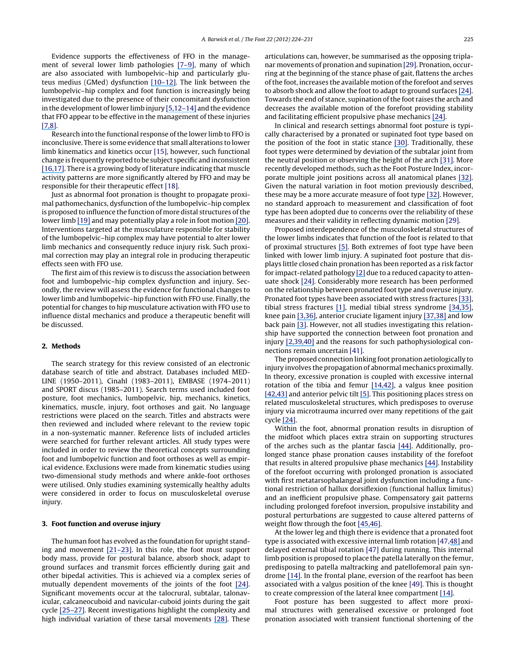Evidence supports the effectiveness of FFO in the management of several lower limb pathologies [\[7](https://www.researchgate.net/publication/6435052_Foot_Orthoses_in_Lower_Limb_Overuse_Conditions_A_Systematic_Review_and_Meta-Analysis?el=1_x_8&enrichId=rgreq-19c4d63d8ead01d979db3fb99b8b0d2d-XXX&enrichSource=Y292ZXJQYWdlOzIyNDAzNzEwNztBUzoyNDE1MjE5MjQ1MDU2MDBAMTQzNDU5NDcyMjUwOA==)[–](#page-6-0)[9](https://www.researchgate.net/publication/244877450_A_clinical_longitudinal_evaluation_of_pre-fabricated_semi-rigid_foot_orthoses_prescribed_to_improve_foot_function?el=1_x_8&enrichId=rgreq-19c4d63d8ead01d979db3fb99b8b0d2d-XXX&enrichSource=Y292ZXJQYWdlOzIyNDAzNzEwNztBUzoyNDE1MjE5MjQ1MDU2MDBAMTQzNDU5NDcyMjUwOA==)[\],](#page-6-0) many of which are also associated with lumbopelvic–hip and particularly gluteus medius (GMed) dysfunction [\[10](https://www.researchgate.net/publication/14050534_Epidemiology_of_Anterior_Cruciate_Ligament_Injuries_in_Soccer?el=1_x_8&enrichId=rgreq-19c4d63d8ead01d979db3fb99b8b0d2d-XXX&enrichSource=Y292ZXJQYWdlOzIyNDAzNzEwNztBUzoyNDE1MjE5MjQ1MDU2MDBAMTQzNDU5NDcyMjUwOA==)[–](#page-6-0)[12](https://www.researchgate.net/publication/288294014_Hip_strength_in_females_with_and_without_patellofemoral_pain?el=1_x_8&enrichId=rgreq-19c4d63d8ead01d979db3fb99b8b0d2d-XXX&enrichSource=Y292ZXJQYWdlOzIyNDAzNzEwNztBUzoyNDE1MjE5MjQ1MDU2MDBAMTQzNDU5NDcyMjUwOA==)[\].](#page-6-0) The link between the lumbopelvic–hip complex and foot function is increasingly being investigated due to the presence of their concomitant dysfunction in the development of lower limb injury [\[5,](https://www.researchgate.net/publication/244877260_Foot_function_and_low_back_pain?el=1_x_8&enrichId=rgreq-19c4d63d8ead01d979db3fb99b8b0d2d-XXX&enrichSource=Y292ZXJQYWdlOzIyNDAzNzEwNztBUzoyNDE1MjE5MjQ1MDU2MDBAMTQzNDU5NDcyMjUwOA==)[1](#page-6-0)[2](https://www.researchgate.net/publication/288294014_Hip_strength_in_females_with_and_without_patellofemoral_pain?el=1_x_8&enrichId=rgreq-19c4d63d8ead01d979db3fb99b8b0d2d-XXX&enrichSource=Y292ZXJQYWdlOzIyNDAzNzEwNztBUzoyNDE1MjE5MjQ1MDU2MDBAMTQzNDU5NDcyMjUwOA==)[–](https://www.researchgate.net/publication/7219818_Anterior_cruciate_ligament_injury_in_female_athletes_Epidemiology?el=1_x_8&enrichId=rgreq-19c4d63d8ead01d979db3fb99b8b0d2d-XXX&enrichSource=Y292ZXJQYWdlOzIyNDAzNzEwNztBUzoyNDE1MjE5MjQ1MDU2MDBAMTQzNDU5NDcyMjUwOA==)[14\]](https://www.researchgate.net/publication/23262743_The_Effect_of_Excessive_Subtalar_Joint_Pronation_on_Patellofemoral_Mechanics_A_Theoretical_Model?el=1_x_8&enrichId=rgreq-19c4d63d8ead01d979db3fb99b8b0d2d-XXX&enrichSource=Y292ZXJQYWdlOzIyNDAzNzEwNztBUzoyNDE1MjE5MjQ1MDU2MDBAMTQzNDU5NDcyMjUwOA==) and the evidence that FFO appear to be effective in the management of these injuries [\[7,](https://www.researchgate.net/publication/6435052_Foot_Orthoses_in_Lower_Limb_Overuse_Conditions_A_Systematic_Review_and_Meta-Analysis?el=1_x_8&enrichId=rgreq-19c4d63d8ead01d979db3fb99b8b0d2d-XXX&enrichSource=Y292ZXJQYWdlOzIyNDAzNzEwNztBUzoyNDE1MjE5MjQ1MDU2MDBAMTQzNDU5NDcyMjUwOA==)[8](https://www.researchgate.net/publication/51420016_Custom-made_foot_orthoses_for_the_treatment_of_foot_pain?el=1_x_8&enrichId=rgreq-19c4d63d8ead01d979db3fb99b8b0d2d-XXX&enrichSource=Y292ZXJQYWdlOzIyNDAzNzEwNztBUzoyNDE1MjE5MjQ1MDU2MDBAMTQzNDU5NDcyMjUwOA==)[\].](#page-6-0)

Research into the functional response of the lower limb to FFO is inconclusive. There is some evidence that small alterations to lower limb kinematics and kinetics occur [\[15\],](#page-6-0) however, such functional change is frequently reported to be subject specific and inconsistent [\[16](https://www.researchgate.net/publication/11923806_Comparison_of_2-dimensional_and_3-dimensional_rearfoot_motion_during_walking?el=1_x_8&enrichId=rgreq-19c4d63d8ead01d979db3fb99b8b0d2d-XXX&enrichSource=Y292ZXJQYWdlOzIyNDAzNzEwNztBUzoyNDE1MjE5MjQ1MDU2MDBAMTQzNDU5NDcyMjUwOA==)[,](#page-6-0)[17](https://www.researchgate.net/publication/12711687_Effect_of_foot_orthoses_on_skeletal_motion_during_running?el=1_x_8&enrichId=rgreq-19c4d63d8ead01d979db3fb99b8b0d2d-XXX&enrichSource=Y292ZXJQYWdlOzIyNDAzNzEwNztBUzoyNDE1MjE5MjQ1MDU2MDBAMTQzNDU5NDcyMjUwOA==)[\].](#page-6-0) There is a growing body of literature indicating that muscle activity patterns are more significantly altered by FFO and may be responsible for their therapeutic effect [\[18\].](#page-6-0)

Just as abnormal foot pronation is thought to propagate proximal pathomechanics, dysfunction of the lumbopelvic–hip complex is proposed to influence the function of more distal structures of the lower limb [\[19\]](https://www.researchgate.net/publication/288809459_Core_stability_and_its_relationship_to_lower_extremity_function_and_injury?el=1_x_8&enrichId=rgreq-19c4d63d8ead01d979db3fb99b8b0d2d-XXX&enrichSource=Y292ZXJQYWdlOzIyNDAzNzEwNztBUzoyNDE1MjE5MjQ1MDU2MDBAMTQzNDU5NDcyMjUwOA==) and may potentially play a role in foot motion [\[20](https://www.researchgate.net/publication/12381143_Contributions_of_proximal_and_distal_moments_to_axial_tibial_rotation_during_walking_and_running?el=1_x_8&enrichId=rgreq-19c4d63d8ead01d979db3fb99b8b0d2d-XXX&enrichSource=Y292ZXJQYWdlOzIyNDAzNzEwNztBUzoyNDE1MjE5MjQ1MDU2MDBAMTQzNDU5NDcyMjUwOA==)[\].](#page-6-0) Interventions targeted at the musculature responsible for stability of the lumbopelvic–hip complex may have potential to alter lower limb mechanics and consequently reduce injury risk. Such proximal correction may play an integral role in producing therapeutic effects seen with FFO use.

The first aim of this review is to discuss the association between foot and lumbopelvic–hip complex dysfunction and injury. Secondly, the review will assess the evidence for functional changes to lower limb and lumbopelvic–hip function with FFO use. Finally, the potential for changes to hip musculature activation with FFO use to influence distal mechanics and produce a therapeutic benefit will be discussed.

#### **2. Methods**

The search strategy for this review consisted of an electronic database search of title and abstract. Databases included MED-LINE (1950–2011), Cinahl (1983–2011), EMBASE (1974–2011) and SPORT discus (1985–2011). Search terms used included foot posture, foot mechanics, lumbopelvic, hip, mechanics, kinetics, kinematics, muscle, injury, foot orthoses and gait. No language restrictions were placed on the search. Titles and abstracts were then reviewed and included where relevant to the review topic in a non-systematic manner. Reference lists of included articles were searched for further relevant articles. All study types were included in order to review the theoretical concepts surrounding foot and lumbopelvic function and foot orthoses as well as empirical evidence. Exclusions were made from kinematic studies using two-dimensional study methods and where ankle-foot orthoses were utilised. Only studies examining systemically healthy adults were considered in order to focus on musculoskeletal overuse injury.

#### **3. Foot function and overuse injury**

The human foot has evolved as the foundation for upright standing and movement [\[21](https://www.researchgate.net/publication/8508355_Fossils_feet_and_the_evolution_of_human_bipedal_locomotion?el=1_x_8&enrichId=rgreq-19c4d63d8ead01d979db3fb99b8b0d2d-XXX&enrichSource=Y292ZXJQYWdlOzIyNDAzNzEwNztBUzoyNDE1MjE5MjQ1MDU2MDBAMTQzNDU5NDcyMjUwOA==)[–](#page-6-0)[23](https://www.researchgate.net/publication/229838855_Evolution_of_the_human_foot_I?el=1_x_8&enrichId=rgreq-19c4d63d8ead01d979db3fb99b8b0d2d-XXX&enrichSource=Y292ZXJQYWdlOzIyNDAzNzEwNztBUzoyNDE1MjE5MjQ1MDU2MDBAMTQzNDU5NDcyMjUwOA==)[\].](#page-6-0) In this role, the foot must support body mass, provide for postural balance, absorb shock, adapt to ground surfaces and transmit forces efficiently during gait and other bipedal activities. This is achieved via a complex series of mutually dependent movements of the joints of the foot [\[24](https://www.researchgate.net/publication/12654398_Biomechanics_of_the_normal_and_abnormal_foot?el=1_x_8&enrichId=rgreq-19c4d63d8ead01d979db3fb99b8b0d2d-XXX&enrichSource=Y292ZXJQYWdlOzIyNDAzNzEwNztBUzoyNDE1MjE5MjQ1MDU2MDBAMTQzNDU5NDcyMjUwOA==)[\].](#page-6-0) Significant movements occur at the talocrural, subtalar, talonavicular, calcaneocuboid and navicular-cuboid joints during the gait cycle [\[25](https://www.researchgate.net/publication/6824920_Rear-foot_mid-foot_and_fore-foot_motion_during_the_stance_phase_of_gait?el=1_x_8&enrichId=rgreq-19c4d63d8ead01d979db3fb99b8b0d2d-XXX&enrichSource=Y292ZXJQYWdlOzIyNDAzNzEwNztBUzoyNDE1MjE5MjQ1MDU2MDBAMTQzNDU5NDcyMjUwOA==)[–](https://www.researchgate.net/publication/5753460_Invasive_in_vivo_measurement_of_rear-_mid-_and_forefoot_motion_during_walking?el=1_x_8&enrichId=rgreq-19c4d63d8ead01d979db3fb99b8b0d2d-XXX&enrichSource=Y292ZXJQYWdlOzIyNDAzNzEwNztBUzoyNDE1MjE5MjQ1MDU2MDBAMTQzNDU5NDcyMjUwOA==)[27](https://www.researchgate.net/publication/6207544_Foot_kinematics_during_walking_measured_using_bone_surface_markers?el=1_x_8&enrichId=rgreq-19c4d63d8ead01d979db3fb99b8b0d2d-XXX&enrichSource=Y292ZXJQYWdlOzIyNDAzNzEwNztBUzoyNDE1MjE5MjQ1MDU2MDBAMTQzNDU5NDcyMjUwOA==)[\].](#page-6-0) Recent investigations highlight the complexity and high individual variation of these tarsal movements [\[28](https://www.researchgate.net/publication/26244847_Lessons_from_dynamic_cadaver_and_invasive_bone_pin_studies_Do_we_know_how_the_foot_really_moves_during_gait?el=1_x_8&enrichId=rgreq-19c4d63d8ead01d979db3fb99b8b0d2d-XXX&enrichSource=Y292ZXJQYWdlOzIyNDAzNzEwNztBUzoyNDE1MjE5MjQ1MDU2MDBAMTQzNDU5NDcyMjUwOA==)[\].](#page-6-0) These articulations can, however, be summarised as the opposing triplanar movements of pronation and supination [\[29\].](#page-6-0) Pronation, occurring at the beginning of the stance phase of gait, flattens the arches of the foot, increases the available motion of the forefoot and serves to absorb shock and allow the foot to adapt to ground surfaces [\[24](https://www.researchgate.net/publication/12654398_Biomechanics_of_the_normal_and_abnormal_foot?el=1_x_8&enrichId=rgreq-19c4d63d8ead01d979db3fb99b8b0d2d-XXX&enrichSource=Y292ZXJQYWdlOzIyNDAzNzEwNztBUzoyNDE1MjE5MjQ1MDU2MDBAMTQzNDU5NDcyMjUwOA==)[\].](#page-6-0) Towards the end of stance, supination of the foot raises the arch and decreases the available motion of the forefoot providing stability and facilitating efficient propulsive phase mechanics [\[24](https://www.researchgate.net/publication/12654398_Biomechanics_of_the_normal_and_abnormal_foot?el=1_x_8&enrichId=rgreq-19c4d63d8ead01d979db3fb99b8b0d2d-XXX&enrichSource=Y292ZXJQYWdlOzIyNDAzNzEwNztBUzoyNDE1MjE5MjQ1MDU2MDBAMTQzNDU5NDcyMjUwOA==)[\].](#page-6-0)

In clinical and research settings abnormal foot posture is typically characterised by a pronated or supinated foot type based on the position of the foot in static stance [\[30](https://www.researchgate.net/publication/10752455_Reliability_of_the_Foot_Posture_Index_and_Traditional_Measures_of_Foot_Position?el=1_x_8&enrichId=rgreq-19c4d63d8ead01d979db3fb99b8b0d2d-XXX&enrichSource=Y292ZXJQYWdlOzIyNDAzNzEwNztBUzoyNDE1MjE5MjQ1MDU2MDBAMTQzNDU5NDcyMjUwOA==)[\].](#page-6-0) Traditionally, these foot types were determined by deviation of the subtalar joint from the neutral position or observing the height of the arch [\[31](https://www.researchgate.net/publication/12360913_Measurements_used_to_characterize_the_foot_and_the_medial_longitudinal_arch_Reliability_and_validity?el=1_x_8&enrichId=rgreq-19c4d63d8ead01d979db3fb99b8b0d2d-XXX&enrichSource=Y292ZXJQYWdlOzIyNDAzNzEwNztBUzoyNDE1MjE5MjQ1MDU2MDBAMTQzNDU5NDcyMjUwOA==)[\].](#page-6-0) More recently developed methods, such as the Foot Posture Index, incorporate multiple joint positions across all anatomical planes [\[32](https://www.researchgate.net/publication/7582564_Development_and_Validation_of_a_Novel_Rating_System_for_Scoring_Standing_Foot_Posture_The_Foot_Posture_Index?el=1_x_8&enrichId=rgreq-19c4d63d8ead01d979db3fb99b8b0d2d-XXX&enrichSource=Y292ZXJQYWdlOzIyNDAzNzEwNztBUzoyNDE1MjE5MjQ1MDU2MDBAMTQzNDU5NDcyMjUwOA==)[\].](#page-6-0) Given the natural variation in foot motion previously described, these may be a more accurate measure of foot type [\[32](https://www.researchgate.net/publication/7582564_Development_and_Validation_of_a_Novel_Rating_System_for_Scoring_Standing_Foot_Posture_The_Foot_Posture_Index?el=1_x_8&enrichId=rgreq-19c4d63d8ead01d979db3fb99b8b0d2d-XXX&enrichSource=Y292ZXJQYWdlOzIyNDAzNzEwNztBUzoyNDE1MjE5MjQ1MDU2MDBAMTQzNDU5NDcyMjUwOA==)[\].](#page-6-0) However, no standard approach to measurement and classification of foot type has been adopted due to concerns over the reliability of these measures and their validity in reflecting dynamic motion [\[29\].](#page-6-0)

Proposed interdependence of the musculoskeletal structures of the lower limbs indicates that function of the foot is related to that of proximal structures [\[5](https://www.researchgate.net/publication/244877260_Foot_function_and_low_back_pain?el=1_x_8&enrichId=rgreq-19c4d63d8ead01d979db3fb99b8b0d2d-XXX&enrichSource=Y292ZXJQYWdlOzIyNDAzNzEwNztBUzoyNDE1MjE5MjQ1MDU2MDBAMTQzNDU5NDcyMjUwOA==)[\].](#page-6-0) Both extremes of foot type have been linked with lower limb injury. A supinated foot posture that displays little closed chain pronation has been reported as a risk factor for impact-related pathology [\[2\]](https://www.researchgate.net/publication/7839426_Foot_Type_and_Overuse_Injury_in_Triathletes?el=1_x_8&enrichId=rgreq-19c4d63d8ead01d979db3fb99b8b0d2d-XXX&enrichSource=Y292ZXJQYWdlOzIyNDAzNzEwNztBUzoyNDE1MjE5MjQ1MDU2MDBAMTQzNDU5NDcyMjUwOA==) due to a reduced capacity to attenuate shock [\[24](https://www.researchgate.net/publication/12654398_Biomechanics_of_the_normal_and_abnormal_foot?el=1_x_8&enrichId=rgreq-19c4d63d8ead01d979db3fb99b8b0d2d-XXX&enrichSource=Y292ZXJQYWdlOzIyNDAzNzEwNztBUzoyNDE1MjE5MjQ1MDU2MDBAMTQzNDU5NDcyMjUwOA==)[\].](#page-6-0) Considerably more research has been performed on the relationship between pronated foot type and overuse injury. Pronated foot types have been associated with stress fractures [\[33](https://www.researchgate.net/publication/12802934_The_Effect_of_Foot_Structure_and_Range_of_Motion_on_Musculoskeletal_Overuse_Injuries?el=1_x_8&enrichId=rgreq-19c4d63d8ead01d979db3fb99b8b0d2d-XXX&enrichSource=Y292ZXJQYWdlOzIyNDAzNzEwNztBUzoyNDE1MjE5MjQ1MDU2MDBAMTQzNDU5NDcyMjUwOA==)[\],](#page-6-0) tibial stress fractures [\[1](https://www.researchgate.net/publication/5862882_Association_between_foot_type_and_tibial_stress_injuries_A_systematic_review?el=1_x_8&enrichId=rgreq-19c4d63d8ead01d979db3fb99b8b0d2d-XXX&enrichSource=Y292ZXJQYWdlOzIyNDAzNzEwNztBUzoyNDE1MjE5MjQ1MDU2MDBAMTQzNDU5NDcyMjUwOA==)[\],](#page-6-0) medial tibial stress syndrome [\[34,](https://www.researchgate.net/publication/11777007_Factors_Contributing_to_the_Development_of_Medial_Tibial_Stress_Syndrome_in_High_School_Runners?el=1_x_8&enrichId=rgreq-19c4d63d8ead01d979db3fb99b8b0d2d-XXX&enrichSource=Y292ZXJQYWdlOzIyNDAzNzEwNztBUzoyNDE1MjE5MjQ1MDU2MDBAMTQzNDU5NDcyMjUwOA==)[35](https://www.researchgate.net/publication/8613912_The_Incidence_and_Risk_Factors_in_the_Development_of_Medial_Tibial_Stress_Syndrome_Among_Naval_Recruits?el=1_x_8&enrichId=rgreq-19c4d63d8ead01d979db3fb99b8b0d2d-XXX&enrichSource=Y292ZXJQYWdlOzIyNDAzNzEwNztBUzoyNDE1MjE5MjQ1MDU2MDBAMTQzNDU5NDcyMjUwOA==)[\],](#page-6-0) knee pain [\[3,](https://www.researchgate.net/publication/23244444_The_Correlation_Between_Pes_Planus_and_Anterior_Knee_or_Intermittent_Low_Back_Pain?el=1_x_8&enrichId=rgreq-19c4d63d8ead01d979db3fb99b8b0d2d-XXX&enrichSource=Y292ZXJQYWdlOzIyNDAzNzEwNztBUzoyNDE1MjE5MjQ1MDU2MDBAMTQzNDU5NDcyMjUwOA==)[3](#page-6-0)[6](https://www.researchgate.net/publication/23262588_Visual_Assessment_of_Foot_Type_and_Relationship_of_Foot_Type_to_Lower_Extremity_Injury?el=1_x_8&enrichId=rgreq-19c4d63d8ead01d979db3fb99b8b0d2d-XXX&enrichSource=Y292ZXJQYWdlOzIyNDAzNzEwNztBUzoyNDE1MjE5MjQ1MDU2MDBAMTQzNDU5NDcyMjUwOA==)[\],](#page-6-0) anterior cruciate ligament injury [\[37,](https://www.researchgate.net/publication/7221619_Risk_factors_for_anterior_cruciate_ligament_injury_in_high_school_and_college_athletes?el=1_x_8&enrichId=rgreq-19c4d63d8ead01d979db3fb99b8b0d2d-XXX&enrichSource=Y292ZXJQYWdlOzIyNDAzNzEwNztBUzoyNDE1MjE5MjQ1MDU2MDBAMTQzNDU5NDcyMjUwOA==)[3](#page-6-0)[8\]](https://www.researchgate.net/publication/7221446_Incidence_of_Hyperpronation_in_the_ACL_Injured_Knee_A_Clinical_Perspective?el=1_x_8&enrichId=rgreq-19c4d63d8ead01d979db3fb99b8b0d2d-XXX&enrichSource=Y292ZXJQYWdlOzIyNDAzNzEwNztBUzoyNDE1MjE5MjQ1MDU2MDBAMTQzNDU5NDcyMjUwOA==) and low back pain [\[3](https://www.researchgate.net/publication/23244444_The_Correlation_Between_Pes_Planus_and_Anterior_Knee_or_Intermittent_Low_Back_Pain?el=1_x_8&enrichId=rgreq-19c4d63d8ead01d979db3fb99b8b0d2d-XXX&enrichSource=Y292ZXJQYWdlOzIyNDAzNzEwNztBUzoyNDE1MjE5MjQ1MDU2MDBAMTQzNDU5NDcyMjUwOA==)[\].](#page-6-0) However, not all studies investigating this relationship have supported the connection between foot pronation and injury [\[2,](https://www.researchgate.net/publication/7839426_Foot_Type_and_Overuse_Injury_in_Triathletes?el=1_x_8&enrichId=rgreq-19c4d63d8ead01d979db3fb99b8b0d2d-XXX&enrichSource=Y292ZXJQYWdlOzIyNDAzNzEwNztBUzoyNDE1MjE5MjQ1MDU2MDBAMTQzNDU5NDcyMjUwOA==)[3](#page-6-0)[9,](https://www.researchgate.net/publication/15291829_Foot_morphology_characteristics_and_risk_of_exercise-related_injury?el=1_x_8&enrichId=rgreq-19c4d63d8ead01d979db3fb99b8b0d2d-XXX&enrichSource=Y292ZXJQYWdlOzIyNDAzNzEwNztBUzoyNDE1MjE5MjQ1MDU2MDBAMTQzNDU5NDcyMjUwOA==)[4](#page-6-0)[0\]](https://www.researchgate.net/publication/10933108_Risk_factors_for_lower_extremity_injury_A_review_of_the_literature?el=1_x_8&enrichId=rgreq-19c4d63d8ead01d979db3fb99b8b0d2d-XXX&enrichSource=Y292ZXJQYWdlOzIyNDAzNzEwNztBUzoyNDE1MjE5MjQ1MDU2MDBAMTQzNDU5NDcyMjUwOA==) and the reasons for such pathophysiological connections remain uncertain [\[41\].](#page-6-0)

The proposed connection linking foot pronation aetiologically to injury involves the propagation of abnormal mechanics proximally. In theory, excessive pronation is coupled with excessive internal rotation of the tibia and femur [\[14,](https://www.researchgate.net/publication/23262743_The_Effect_of_Excessive_Subtalar_Joint_Pronation_on_Patellofemoral_Mechanics_A_Theoretical_Model?el=1_x_8&enrichId=rgreq-19c4d63d8ead01d979db3fb99b8b0d2d-XXX&enrichSource=Y292ZXJQYWdlOzIyNDAzNzEwNztBUzoyNDE1MjE5MjQ1MDU2MDBAMTQzNDU5NDcyMjUwOA==)[42](https://www.researchgate.net/publication/19962747_Pathomechanics_of_structural_foot_deformities?el=1_x_8&enrichId=rgreq-19c4d63d8ead01d979db3fb99b8b0d2d-XXX&enrichSource=Y292ZXJQYWdlOzIyNDAzNzEwNztBUzoyNDE1MjE5MjQ1MDU2MDBAMTQzNDU5NDcyMjUwOA==)[\],](#page-6-0) a valgus knee position [\[42,](https://www.researchgate.net/publication/19962747_Pathomechanics_of_structural_foot_deformities?el=1_x_8&enrichId=rgreq-19c4d63d8ead01d979db3fb99b8b0d2d-XXX&enrichSource=Y292ZXJQYWdlOzIyNDAzNzEwNztBUzoyNDE1MjE5MjQ1MDU2MDBAMTQzNDU5NDcyMjUwOA==)[4](#page-6-0)[3\]](https://www.researchgate.net/publication/23148229_Proximal_and_Distal_Influences_on_Hip_and_Knee_Kinematics_in_Runners_With_Patellofemoral_Pain_During_a_Prolonged_Run?el=1_x_8&enrichId=rgreq-19c4d63d8ead01d979db3fb99b8b0d2d-XXX&enrichSource=Y292ZXJQYWdlOzIyNDAzNzEwNztBUzoyNDE1MjE5MjQ1MDU2MDBAMTQzNDU5NDcyMjUwOA==) and anterior pelvic tilt [\[5](https://www.researchgate.net/publication/244877260_Foot_function_and_low_back_pain?el=1_x_8&enrichId=rgreq-19c4d63d8ead01d979db3fb99b8b0d2d-XXX&enrichSource=Y292ZXJQYWdlOzIyNDAzNzEwNztBUzoyNDE1MjE5MjQ1MDU2MDBAMTQzNDU5NDcyMjUwOA==)[\].](#page-6-0) This positioning places stress on related musculoskeletal structures, which predisposes to overuse injury via microtrauma incurred over many repetitions of the gait cycle [\[24](https://www.researchgate.net/publication/12654398_Biomechanics_of_the_normal_and_abnormal_foot?el=1_x_8&enrichId=rgreq-19c4d63d8ead01d979db3fb99b8b0d2d-XXX&enrichSource=Y292ZXJQYWdlOzIyNDAzNzEwNztBUzoyNDE1MjE5MjQ1MDU2MDBAMTQzNDU5NDcyMjUwOA==)[\].](#page-6-0)

Within the foot, abnormal pronation results in disruption of the midfoot which places extra strain on supporting structures of the arches such as the plantar fascia [\[44](https://www.researchgate.net/publication/12654399_The_windlass_mechanism_of_the_foot_A_mechanical_model_to_explain_pathology?el=1_x_8&enrichId=rgreq-19c4d63d8ead01d979db3fb99b8b0d2d-XXX&enrichSource=Y292ZXJQYWdlOzIyNDAzNzEwNztBUzoyNDE1MjE5MjQ1MDU2MDBAMTQzNDU5NDcyMjUwOA==)[\].](#page-6-0) Additionally, prolonged stance phase pronation causes instability of the forefoot that results in altered propulsive phase mechanics [\[44](https://www.researchgate.net/publication/12654399_The_windlass_mechanism_of_the_foot_A_mechanical_model_to_explain_pathology?el=1_x_8&enrichId=rgreq-19c4d63d8ead01d979db3fb99b8b0d2d-XXX&enrichSource=Y292ZXJQYWdlOzIyNDAzNzEwNztBUzoyNDE1MjE5MjQ1MDU2MDBAMTQzNDU5NDcyMjUwOA==)[\].](#page-6-0) Instability of the forefoot occurring with prolonged pronation is associated with first metatarsophalangeal joint dysfunction including a functional restriction of hallux dorsiflexion (functional hallux limitus) and an inefficient propulsive phase. Compensatory gait patterns including prolonged forefoot inversion, propulsive instability and postural perturbations are suggested to cause altered patterns of weight flow through the foot [\[45,](https://www.researchgate.net/publication/14833736_Gait_style_as_an_etiology_to_chronic_postural_pain_Part_I_Functional_hallux_limitus?el=1_x_8&enrichId=rgreq-19c4d63d8ead01d979db3fb99b8b0d2d-XXX&enrichSource=Y292ZXJQYWdlOzIyNDAzNzEwNztBUzoyNDE1MjE5MjQ1MDU2MDBAMTQzNDU5NDcyMjUwOA==)[46](https://www.researchgate.net/publication/14940066_Gait_style_as_an_etiology_to_chronic_postural_pain_Part_II_Postural_compensatory_process?el=1_x_8&enrichId=rgreq-19c4d63d8ead01d979db3fb99b8b0d2d-XXX&enrichSource=Y292ZXJQYWdlOzIyNDAzNzEwNztBUzoyNDE1MjE5MjQ1MDU2MDBAMTQzNDU5NDcyMjUwOA==)[\].](#page-6-0)

At the lower leg and thigh there is evidence that a pronated foot type is associated with excessive internal limb rotation [\[47,](#page-6-0)[48\]](https://www.researchgate.net/publication/14849018_Effects_of_arch_height_of_the_foot_on_angular_motion_of_the_lower_extremities_in_running?el=1_x_8&enrichId=rgreq-19c4d63d8ead01d979db3fb99b8b0d2d-XXX&enrichSource=Y292ZXJQYWdlOzIyNDAzNzEwNztBUzoyNDE1MjE5MjQ1MDU2MDBAMTQzNDU5NDcyMjUwOA==) and delayed external tibial rotation [\[47\]](#page-6-0) during running. This internal limb position is proposed to place the patella laterally on the femur, predisposing to patella maltracking and patellofemoral pain syndrome [\[14](https://www.researchgate.net/publication/23262743_The_Effect_of_Excessive_Subtalar_Joint_Pronation_on_Patellofemoral_Mechanics_A_Theoretical_Model?el=1_x_8&enrichId=rgreq-19c4d63d8ead01d979db3fb99b8b0d2d-XXX&enrichSource=Y292ZXJQYWdlOzIyNDAzNzEwNztBUzoyNDE1MjE5MjQ1MDU2MDBAMTQzNDU5NDcyMjUwOA==)[\].](#page-6-0) In the frontal plane, eversion of the rearfoot has been associated with a valgus position of the knee [\[49\].](#page-6-0) This is thought to create compression of the lateral knee compartment [\[14](https://www.researchgate.net/publication/23262743_The_Effect_of_Excessive_Subtalar_Joint_Pronation_on_Patellofemoral_Mechanics_A_Theoretical_Model?el=1_x_8&enrichId=rgreq-19c4d63d8ead01d979db3fb99b8b0d2d-XXX&enrichSource=Y292ZXJQYWdlOzIyNDAzNzEwNztBUzoyNDE1MjE5MjQ1MDU2MDBAMTQzNDU5NDcyMjUwOA==)[\].](#page-6-0)

Foot posture has been suggested to affect more proximal structures with generalised excessive or prolonged foot pronation associated with transient functional shortening of the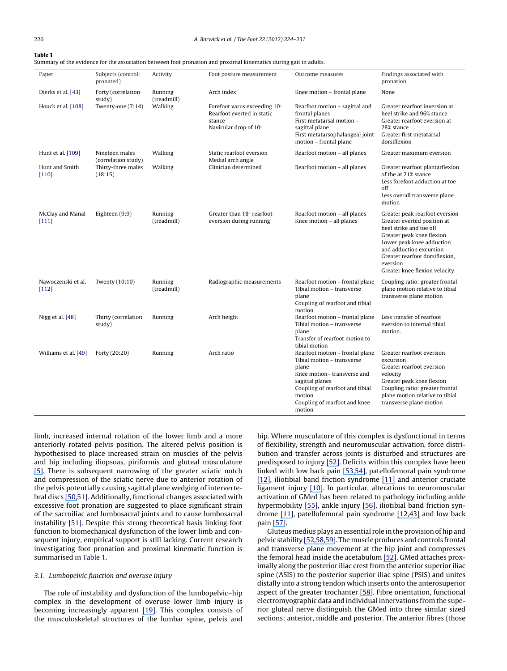**Table 1**

Summary of the evidence for the association between foot pronation and proximal kinematics during gait in adults.

| Paper                       | Subjects (control:<br>pronated)       | Activity               | Foot posture measurement                                                                      | Outcome measures                                                                                                                                                                                                | Findings associated with<br>pronation                                                                                                                                                                                                                        |  |
|-----------------------------|---------------------------------------|------------------------|-----------------------------------------------------------------------------------------------|-----------------------------------------------------------------------------------------------------------------------------------------------------------------------------------------------------------------|--------------------------------------------------------------------------------------------------------------------------------------------------------------------------------------------------------------------------------------------------------------|--|
| Dierks et al. [43]          | Forty (correlation<br>study)          | Running<br>(treadmill) | Arch index                                                                                    | Knee motion - frontal plane                                                                                                                                                                                     | None                                                                                                                                                                                                                                                         |  |
| Houck et al. [108]          | Twenty-one (7:14)<br>Walking          |                        | Forefoot varus exceeding 10°<br>Rearfoot everted in static<br>stance<br>Navicular drop of 10° | Rearfoot motion - sagittal and<br>frontal planes<br>First metatarsal motion -<br>sagittal plane<br>First metatarsophalangeal joint<br>motion - frontal plane                                                    | Greater rearfoot inversion at<br>heel strike and 96% stance<br>Greater rearfoot eversion at<br>28% stance<br>Greater first metatarsal<br>dorsiflexion                                                                                                        |  |
| Hunt et al. [109]           | Nineteen males<br>(correlation study) | Walking                | Static rearfoot eversion<br>Medial arch angle                                                 | Rearfoot motion - all planes                                                                                                                                                                                    | Greater maximum eversion                                                                                                                                                                                                                                     |  |
| Hunt and Smith<br>[110]     | Thirty-three males<br>(18:15)         | Walking                | Clinician determined                                                                          | Rearfoot motion - all planes                                                                                                                                                                                    | Greater rearfoot plantarflexion<br>of the at 21% stance<br>Less forefoot adduction at toe<br>off<br>Less overall transverse plane<br>motion                                                                                                                  |  |
| McClay and Manal<br>[111]   | Eighteen (9:9)                        | Running<br>(treadmill) | Greater than $18^\circ$ rearfoot<br>eversion during running                                   | Rearfoot motion - all planes<br>Knee motion - all planes                                                                                                                                                        | Greater peak rearfoot eversion<br>Greater everted position at<br>heel strike and toe off<br>Greater peak knee flexion<br>Lower peak knee adduction<br>and adduction excursion<br>Greater rearfoot dorsiflexion,<br>eversion<br>Greater knee flexion velocity |  |
| Nawoczenski et al.<br>[112] | Twenty (10:10)                        | Running<br>(treadmill) | Radiographic measurements                                                                     | Rearfoot motion - frontal plane<br>Tibial motion - transverse<br>plane<br>Coupling of rearfoot and tibial<br>motion                                                                                             | Coupling ratio: greater frontal<br>plane motion relative to tibial<br>transverse plane motion                                                                                                                                                                |  |
| Nigg et al. [48]            | Thirty (correlation<br>study)         | Running                | Arch height                                                                                   | Rearfoot motion - frontal plane<br>Tibial motion - transverse<br>plane<br>Transfer of rearfoot motion to<br>tibial motion                                                                                       | Less transfer of rearfoot<br>eversion to internal tibial<br>motion.                                                                                                                                                                                          |  |
| Williams et al. [49]        | Forty (20:20)                         | Running                | Arch ratio                                                                                    | Rearfoot motion - frontal plane<br>Tibial motion - transverse<br>plane<br>Knee motion-transverse and<br>sagittal planes<br>Coupling of rearfoot and tibial<br>motion<br>Coupling of rearfoot and knee<br>motion | Greater rearfoot eversion<br>excursion<br>Greater rearfoot eversion<br>velocity<br>Greater peak knee flexion<br>Coupling ratio: greater frontal<br>plane motion relative to tibial<br>transverse plane motion                                                |  |

limb, increased internal rotation of the lower limb and a more anteriorly rotated pelvis position. The altered pelvis position is hypothesised to place increased strain on muscles of the pelvis and hip including iliopsoas, piriformis and gluteal musculature [\[5](https://www.researchgate.net/publication/244877260_Foot_function_and_low_back_pain?el=1_x_8&enrichId=rgreq-19c4d63d8ead01d979db3fb99b8b0d2d-XXX&enrichSource=Y292ZXJQYWdlOzIyNDAzNzEwNztBUzoyNDE1MjE5MjQ1MDU2MDBAMTQzNDU5NDcyMjUwOA==)[\].](#page-6-0) There is subsequent narrowing of the greater sciatic notch and compression of the sciatic nerve due to anterior rotation of the pelvis potentially causing sagittal plane wedging of intervertebral discs [\[50,](https://www.researchgate.net/publication/16742197_An_interpretation_of_the_pronation_syndrome_and_foot_types_of_patients_with_low_back_pain?el=1_x_8&enrichId=rgreq-19c4d63d8ead01d979db3fb99b8b0d2d-XXX&enrichSource=Y292ZXJQYWdlOzIyNDAzNzEwNztBUzoyNDE1MjE5MjQ1MDU2MDBAMTQzNDU5NDcyMjUwOA==)[51\].](#page-6-0) Additionally, functional changes associated with excessive foot pronation are suggested to place significant strain of the sacroiliac and lumbosacral joints and to cause lumbosacral instability [\[51\].](#page-6-0) Despite this strong theoretical basis linking foot function to biomechanical dysfunction of the lower limb and consequent injury, empirical support is still lacking. Current research investigating foot pronation and proximal kinematic function is summarised in Table 1.

#### 3.1. Lumbopelvic function and overuse injury

The role of instability and dysfunction of the lumbopelvic–hip complex in the development of overuse lower limb injury is becoming increasingly apparent [\[19](https://www.researchgate.net/publication/288809459_Core_stability_and_its_relationship_to_lower_extremity_function_and_injury?el=1_x_8&enrichId=rgreq-19c4d63d8ead01d979db3fb99b8b0d2d-XXX&enrichSource=Y292ZXJQYWdlOzIyNDAzNzEwNztBUzoyNDE1MjE5MjQ1MDU2MDBAMTQzNDU5NDcyMjUwOA==)[\].](#page-6-0) This complex consists of the musculoskeletal structures of the lumbar spine, pelvis and hip. Where musculature of this complex is dysfunctional in terms of flexibility, strength and neuromuscular activation, force distribution and transfer across joints is disturbed and structures are predisposed to injury [\[52](https://www.researchgate.net/publication/41191581_Kinesiology_of_the_Hip_A_Focus_on_Muscular_Actions?el=1_x_8&enrichId=rgreq-19c4d63d8ead01d979db3fb99b8b0d2d-XXX&enrichSource=Y292ZXJQYWdlOzIyNDAzNzEwNztBUzoyNDE1MjE5MjQ1MDU2MDBAMTQzNDU5NDcyMjUwOA==)[\].](#page-6-0) Deficits within this complex have been linked with low back pain [\[53,](https://www.researchgate.net/publication/223730850_Back_and_hip_extensor_fatigability_in_chronic_low_back_pain_patients_and_controls?el=1_x_8&enrichId=rgreq-19c4d63d8ead01d979db3fb99b8b0d2d-XXX&enrichSource=Y292ZXJQYWdlOzIyNDAzNzEwNztBUzoyNDE1MjE5MjQ1MDU2MDBAMTQzNDU5NDcyMjUwOA==)[54](https://www.researchgate.net/publication/11868256_Relationship_Between_Hip_Muscle_Imbalance_and_Occurrence_of_Low_Back_Pain_in_Collegiate_Athletes?el=1_x_8&enrichId=rgreq-19c4d63d8ead01d979db3fb99b8b0d2d-XXX&enrichSource=Y292ZXJQYWdlOzIyNDAzNzEwNztBUzoyNDE1MjE5MjQ1MDU2MDBAMTQzNDU5NDcyMjUwOA==)[\],](#page-6-0) patellofemoral pain syndrome [\[12](https://www.researchgate.net/publication/288294014_Hip_strength_in_females_with_and_without_patellofemoral_pain?el=1_x_8&enrichId=rgreq-19c4d63d8ead01d979db3fb99b8b0d2d-XXX&enrichSource=Y292ZXJQYWdlOzIyNDAzNzEwNztBUzoyNDE1MjE5MjQ1MDU2MDBAMTQzNDU5NDcyMjUwOA==)[\],](#page-6-0) iliotibial band friction syndrome [\[11\]](https://www.researchgate.net/publication/12361904_Hip_Abductor_Weakness_in_Distance_Runners_with_Iliotibial_Band_Syndrome?el=1_x_8&enrichId=rgreq-19c4d63d8ead01d979db3fb99b8b0d2d-XXX&enrichSource=Y292ZXJQYWdlOzIyNDAzNzEwNztBUzoyNDE1MjE5MjQ1MDU2MDBAMTQzNDU5NDcyMjUwOA==) and anterior cruciate ligament injury [\[10](https://www.researchgate.net/publication/14050534_Epidemiology_of_Anterior_Cruciate_Ligament_Injuries_in_Soccer?el=1_x_8&enrichId=rgreq-19c4d63d8ead01d979db3fb99b8b0d2d-XXX&enrichSource=Y292ZXJQYWdlOzIyNDAzNzEwNztBUzoyNDE1MjE5MjQ1MDU2MDBAMTQzNDU5NDcyMjUwOA==)[\].](#page-6-0) In particular, alterations to neuromuscular activation of GMed has been related to pathology including ankle hypermobility [\[55](https://www.researchgate.net/publication/14659297_Ankle_inversion_injury_and_hypermobility_Effect_on_hip_and_ankle_muscle_electromyography_onset_latency?el=1_x_8&enrichId=rgreq-19c4d63d8ead01d979db3fb99b8b0d2d-XXX&enrichSource=Y292ZXJQYWdlOzIyNDAzNzEwNztBUzoyNDE1MjE5MjQ1MDU2MDBAMTQzNDU5NDcyMjUwOA==)[\],](#page-7-0) ankle injury [\[56](https://www.researchgate.net/publication/14933017_Local_sensation_changes_and_altered_hip_muscle_function_following_severe_ankle_sprain?el=1_x_8&enrichId=rgreq-19c4d63d8ead01d979db3fb99b8b0d2d-XXX&enrichSource=Y292ZXJQYWdlOzIyNDAzNzEwNztBUzoyNDE1MjE5MjQ1MDU2MDBAMTQzNDU5NDcyMjUwOA==)], iliotibial band friction syndrome [\[11](https://www.researchgate.net/publication/12361904_Hip_Abductor_Weakness_in_Distance_Runners_with_Iliotibial_Band_Syndrome?el=1_x_8&enrichId=rgreq-19c4d63d8ead01d979db3fb99b8b0d2d-XXX&enrichSource=Y292ZXJQYWdlOzIyNDAzNzEwNztBUzoyNDE1MjE5MjQ1MDU2MDBAMTQzNDU5NDcyMjUwOA==)[\],](#page-6-0) patellofemoral pain syndrome [\[12,](https://www.researchgate.net/publication/288294014_Hip_strength_in_females_with_and_without_patellofemoral_pain?el=1_x_8&enrichId=rgreq-19c4d63d8ead01d979db3fb99b8b0d2d-XXX&enrichSource=Y292ZXJQYWdlOzIyNDAzNzEwNztBUzoyNDE1MjE5MjQ1MDU2MDBAMTQzNDU5NDcyMjUwOA==)[43\]](https://www.researchgate.net/publication/23148229_Proximal_and_Distal_Influences_on_Hip_and_Knee_Kinematics_in_Runners_With_Patellofemoral_Pain_During_a_Prolonged_Run?el=1_x_8&enrichId=rgreq-19c4d63d8ead01d979db3fb99b8b0d2d-XXX&enrichSource=Y292ZXJQYWdlOzIyNDAzNzEwNztBUzoyNDE1MjE5MjQ1MDU2MDBAMTQzNDU5NDcyMjUwOA==) and low back pain [\[57](https://www.researchgate.net/publication/5568852_Gluteus_medius_muscle_activation_patterns_as_a_predictor_of_low_back_pain_during_standing?el=1_x_8&enrichId=rgreq-19c4d63d8ead01d979db3fb99b8b0d2d-XXX&enrichSource=Y292ZXJQYWdlOzIyNDAzNzEwNztBUzoyNDE1MjE5MjQ1MDU2MDBAMTQzNDU5NDcyMjUwOA==)[\].](#page-7-0)

Gluteus medius plays an essential role in the provision of hip and pelvic stability [\[52,](https://www.researchgate.net/publication/41191581_Kinesiology_of_the_Hip_A_Focus_on_Muscular_Actions?el=1_x_8&enrichId=rgreq-19c4d63d8ead01d979db3fb99b8b0d2d-XXX&enrichSource=Y292ZXJQYWdlOzIyNDAzNzEwNztBUzoyNDE1MjE5MjQ1MDU2MDBAMTQzNDU5NDcyMjUwOA==)[58](https://www.researchgate.net/publication/20535353_The_functional_anatomy_of_tensor_fasciae_latae_and_gluteus_medius_and_minimus?el=1_x_8&enrichId=rgreq-19c4d63d8ead01d979db3fb99b8b0d2d-XXX&enrichSource=Y292ZXJQYWdlOzIyNDAzNzEwNztBUzoyNDE1MjE5MjQ1MDU2MDBAMTQzNDU5NDcyMjUwOA==)[,](#page-6-0)[59](https://www.researchgate.net/publication/19604353_Quantitative_functional_anatomy_of_the_lower_limb_with_application_to_human_gait?el=1_x_8&enrichId=rgreq-19c4d63d8ead01d979db3fb99b8b0d2d-XXX&enrichSource=Y292ZXJQYWdlOzIyNDAzNzEwNztBUzoyNDE1MjE5MjQ1MDU2MDBAMTQzNDU5NDcyMjUwOA==)[\].](#page-6-0) Themuscle produces and controls frontal and transverse plane movement at the hip joint and compresses the femoral head inside the acetabulum [\[52](https://www.researchgate.net/publication/41191581_Kinesiology_of_the_Hip_A_Focus_on_Muscular_Actions?el=1_x_8&enrichId=rgreq-19c4d63d8ead01d979db3fb99b8b0d2d-XXX&enrichSource=Y292ZXJQYWdlOzIyNDAzNzEwNztBUzoyNDE1MjE5MjQ1MDU2MDBAMTQzNDU5NDcyMjUwOA==)[\].](#page-6-0) GMed attaches proximally along the posterior iliac crest from the anterior superior iliac spine (ASIS) to the posterior superior iliac spine (PSIS) and unites distally into a strong tendon which inserts onto the anterosuperior aspect of the greater trochanter [\[58](https://www.researchgate.net/publication/20535353_The_functional_anatomy_of_tensor_fasciae_latae_and_gluteus_medius_and_minimus?el=1_x_8&enrichId=rgreq-19c4d63d8ead01d979db3fb99b8b0d2d-XXX&enrichSource=Y292ZXJQYWdlOzIyNDAzNzEwNztBUzoyNDE1MjE5MjQ1MDU2MDBAMTQzNDU5NDcyMjUwOA==)[\].](#page-7-0) Fibre orientation, functional electromyographic data and individual innervations from the superior gluteal nerve distinguish the GMed into three similar sized sections: anterior, middle and posterior. The anterior fibres (those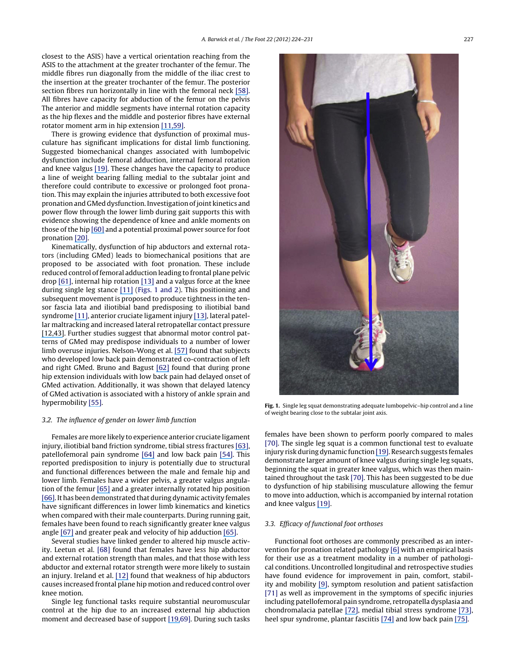closest to the ASIS) have a vertical orientation reaching from the ASIS to the attachment at the greater trochanter of the femur. The middle fibres run diagonally from the middle of the iliac crest to the insertion at the greater trochanter of the femur. The posterior section fibres run horizontally in line with the femoral neck [\[58](https://www.researchgate.net/publication/20535353_The_functional_anatomy_of_tensor_fasciae_latae_and_gluteus_medius_and_minimus?el=1_x_8&enrichId=rgreq-19c4d63d8ead01d979db3fb99b8b0d2d-XXX&enrichSource=Y292ZXJQYWdlOzIyNDAzNzEwNztBUzoyNDE1MjE5MjQ1MDU2MDBAMTQzNDU5NDcyMjUwOA==)[\].](#page-7-0) All fibres have capacity for abduction of the femur on the pelvis The anterior and middle segments have internal rotation capacity as the hip flexes and the middle and posterior fibres have external rotator moment arm in hip extension [\[11,](https://www.researchgate.net/publication/12361904_Hip_Abductor_Weakness_in_Distance_Runners_with_Iliotibial_Band_Syndrome?el=1_x_8&enrichId=rgreq-19c4d63d8ead01d979db3fb99b8b0d2d-XXX&enrichSource=Y292ZXJQYWdlOzIyNDAzNzEwNztBUzoyNDE1MjE5MjQ1MDU2MDBAMTQzNDU5NDcyMjUwOA==)[59](https://www.researchgate.net/publication/19604353_Quantitative_functional_anatomy_of_the_lower_limb_with_application_to_human_gait?el=1_x_8&enrichId=rgreq-19c4d63d8ead01d979db3fb99b8b0d2d-XXX&enrichSource=Y292ZXJQYWdlOzIyNDAzNzEwNztBUzoyNDE1MjE5MjQ1MDU2MDBAMTQzNDU5NDcyMjUwOA==)[\].](#page-6-0)

There is growing evidence that dysfunction of proximal musculature has significant implications for distal limb functioning. Suggested biomechanical changes associated with lumbopelvic dysfunction include femoral adduction, internal femoral rotation and knee valgus [\[19](https://www.researchgate.net/publication/288809459_Core_stability_and_its_relationship_to_lower_extremity_function_and_injury?el=1_x_8&enrichId=rgreq-19c4d63d8ead01d979db3fb99b8b0d2d-XXX&enrichSource=Y292ZXJQYWdlOzIyNDAzNzEwNztBUzoyNDE1MjE5MjQ1MDU2MDBAMTQzNDU5NDcyMjUwOA==)[\].](#page-6-0) These changes have the capacity to produce a line of weight bearing falling medial to the subtalar joint and therefore could contribute to excessive or prolonged foot pronation. This may explain the injuries attributed to both excessive foot pronation and GMed dysfunction. Investigation of joint kinetics and power flow through the lower limb during gait supports this with evidence showing the dependence of knee and ankle moments on those of the hip [\[60\]](https://www.researchgate.net/publication/13226477_Dynamics_of_force_and_muscle_stimulation_in_human_vertical_jumping?el=1_x_8&enrichId=rgreq-19c4d63d8ead01d979db3fb99b8b0d2d-XXX&enrichSource=Y292ZXJQYWdlOzIyNDAzNzEwNztBUzoyNDE1MjE5MjQ1MDU2MDBAMTQzNDU5NDcyMjUwOA==) and a potential proximal power source for foot pronation [\[20](https://www.researchgate.net/publication/12381143_Contributions_of_proximal_and_distal_moments_to_axial_tibial_rotation_during_walking_and_running?el=1_x_8&enrichId=rgreq-19c4d63d8ead01d979db3fb99b8b0d2d-XXX&enrichSource=Y292ZXJQYWdlOzIyNDAzNzEwNztBUzoyNDE1MjE5MjQ1MDU2MDBAMTQzNDU5NDcyMjUwOA==)[\].](#page-6-0)

Kinematically, dysfunction of hip abductors and external rotators (including GMed) leads to biomechanical positions that are proposed to be associated with foot pronation. These include reduced control of femoral adduction leading to frontal plane pelvic drop  $[61]$  $[61]$ , internal hip rotation  $[13]$  and a valgus force at the knee during single leg stance [\[11\]](https://www.researchgate.net/publication/12361904_Hip_Abductor_Weakness_in_Distance_Runners_with_Iliotibial_Band_Syndrome?el=1_x_8&enrichId=rgreq-19c4d63d8ead01d979db3fb99b8b0d2d-XXX&enrichSource=Y292ZXJQYWdlOzIyNDAzNzEwNztBUzoyNDE1MjE5MjQ1MDU2MDBAMTQzNDU5NDcyMjUwOA==) (Figs. 1 and 2). This positioning and subsequent movement is proposed to produce tightness in the tensor fascia lata and iliotibial band predisposing to iliotibial band syndrome [\[11](https://www.researchgate.net/publication/12361904_Hip_Abductor_Weakness_in_Distance_Runners_with_Iliotibial_Band_Syndrome?el=1_x_8&enrichId=rgreq-19c4d63d8ead01d979db3fb99b8b0d2d-XXX&enrichSource=Y292ZXJQYWdlOzIyNDAzNzEwNztBUzoyNDE1MjE5MjQ1MDU2MDBAMTQzNDU5NDcyMjUwOA==)[\],](#page-6-0) anterior cruciate ligament injury [\[13](https://www.researchgate.net/publication/7219818_Anterior_cruciate_ligament_injury_in_female_athletes_Epidemiology?el=1_x_8&enrichId=rgreq-19c4d63d8ead01d979db3fb99b8b0d2d-XXX&enrichSource=Y292ZXJQYWdlOzIyNDAzNzEwNztBUzoyNDE1MjE5MjQ1MDU2MDBAMTQzNDU5NDcyMjUwOA==)[\],](#page-6-0) lateral patellar maltracking and increased lateral retropatellar contact pressure [\[12,](https://www.researchgate.net/publication/288294014_Hip_strength_in_females_with_and_without_patellofemoral_pain?el=1_x_8&enrichId=rgreq-19c4d63d8ead01d979db3fb99b8b0d2d-XXX&enrichSource=Y292ZXJQYWdlOzIyNDAzNzEwNztBUzoyNDE1MjE5MjQ1MDU2MDBAMTQzNDU5NDcyMjUwOA==)[43\]](https://www.researchgate.net/publication/23148229_Proximal_and_Distal_Influences_on_Hip_and_Knee_Kinematics_in_Runners_With_Patellofemoral_Pain_During_a_Prolonged_Run?el=1_x_8&enrichId=rgreq-19c4d63d8ead01d979db3fb99b8b0d2d-XXX&enrichSource=Y292ZXJQYWdlOzIyNDAzNzEwNztBUzoyNDE1MjE5MjQ1MDU2MDBAMTQzNDU5NDcyMjUwOA==). Further studies suggest that abnormal motor control patterns of GMed may predispose individuals to a number of lower limb overuse injuries. Nelson-Wong et al. [\[57\]](https://www.researchgate.net/publication/5568852_Gluteus_medius_muscle_activation_patterns_as_a_predictor_of_low_back_pain_during_standing?el=1_x_8&enrichId=rgreq-19c4d63d8ead01d979db3fb99b8b0d2d-XXX&enrichSource=Y292ZXJQYWdlOzIyNDAzNzEwNztBUzoyNDE1MjE5MjQ1MDU2MDBAMTQzNDU5NDcyMjUwOA==) found that subjects who developed low back pain demonstrated co-contraction of left and right GMed. Bruno and Bagust [\[62\]](https://www.researchgate.net/publication/244798415_An_investigation_into_motor_pattern_differences_used_during_prone_hip_extension_between_subjects_with_and_without_low_back_pain?el=1_x_8&enrichId=rgreq-19c4d63d8ead01d979db3fb99b8b0d2d-XXX&enrichSource=Y292ZXJQYWdlOzIyNDAzNzEwNztBUzoyNDE1MjE5MjQ1MDU2MDBAMTQzNDU5NDcyMjUwOA==) found that during prone hip extension individuals with low back pain had delayed onset of GMed activation. Additionally, it was shown that delayed latency of GMed activation is associated with a history of ankle sprain and hypermobility [\[55](https://www.researchgate.net/publication/14659297_Ankle_inversion_injury_and_hypermobility_Effect_on_hip_and_ankle_muscle_electromyography_onset_latency?el=1_x_8&enrichId=rgreq-19c4d63d8ead01d979db3fb99b8b0d2d-XXX&enrichSource=Y292ZXJQYWdlOzIyNDAzNzEwNztBUzoyNDE1MjE5MjQ1MDU2MDBAMTQzNDU5NDcyMjUwOA==)[\].](#page-7-0)

#### 3.2. The influence of gender on lower limb function

Females are more likely to experience anterior cruciate ligament injury, iliotibial band friction syndrome, tibial stress fractures [\[63](https://www.researchgate.net/publication/11447542_A_retrospective_case-control_analysis_of_2002_running_injuries?el=1_x_8&enrichId=rgreq-19c4d63d8ead01d979db3fb99b8b0d2d-XXX&enrichSource=Y292ZXJQYWdlOzIyNDAzNzEwNztBUzoyNDE1MjE5MjQ1MDU2MDBAMTQzNDU5NDcyMjUwOA==)[\],](#page-7-0) patellofemoral pain syndrome [\[64\]](https://www.researchgate.net/publication/51359252_Gender_differences_in_musculoskeletal_injury_rates_A_function_of_symptom_reporting?el=1_x_8&enrichId=rgreq-19c4d63d8ead01d979db3fb99b8b0d2d-XXX&enrichSource=Y292ZXJQYWdlOzIyNDAzNzEwNztBUzoyNDE1MjE5MjQ1MDU2MDBAMTQzNDU5NDcyMjUwOA==) and low back pain [\[54](https://www.researchgate.net/publication/11868256_Relationship_Between_Hip_Muscle_Imbalance_and_Occurrence_of_Low_Back_Pain_in_Collegiate_Athletes?el=1_x_8&enrichId=rgreq-19c4d63d8ead01d979db3fb99b8b0d2d-XXX&enrichSource=Y292ZXJQYWdlOzIyNDAzNzEwNztBUzoyNDE1MjE5MjQ1MDU2MDBAMTQzNDU5NDcyMjUwOA==)[\].](#page-6-0) This reported predisposition to injury is potentially due to structural and functional differences between the male and female hip and lower limb. Females have a wider pelvis, a greater valgus angulation of the femur [\[65\]](https://www.researchgate.net/publication/7536195_Gender_differences_in_lower_extremity_mechanics_during_running?el=1_x_8&enrichId=rgreq-19c4d63d8ead01d979db3fb99b8b0d2d-XXX&enrichSource=Y292ZXJQYWdlOzIyNDAzNzEwNztBUzoyNDE1MjE5MjQ1MDU2MDBAMTQzNDU5NDcyMjUwOA==) and a greater internally rotated hip position [\[66](https://www.researchgate.net/publication/13542338_Influence_of_Hip_Position_and_Gender_on_Active_Hip_Internal_and_External_Rotation?el=1_x_8&enrichId=rgreq-19c4d63d8ead01d979db3fb99b8b0d2d-XXX&enrichSource=Y292ZXJQYWdlOzIyNDAzNzEwNztBUzoyNDE1MjE5MjQ1MDU2MDBAMTQzNDU5NDcyMjUwOA==)[\].I](#page-7-0)t has been demonstrated that during dynamic activity females have significant differences in lower limb kinematics and kinetics when compared with their male counterparts. During running gait, females have been found to reach significantly greater knee valgus angle [\[67\]](https://www.researchgate.net/publication/223160844_A_comparison_of_knee_joint_motion_patterns_between_men_and_women_in_selected_athletic_tasks?el=1_x_8&enrichId=rgreq-19c4d63d8ead01d979db3fb99b8b0d2d-XXX&enrichSource=Y292ZXJQYWdlOzIyNDAzNzEwNztBUzoyNDE1MjE5MjQ1MDU2MDBAMTQzNDU5NDcyMjUwOA==) and greater peak and velocity of hip adduction [\[65](https://www.researchgate.net/publication/7536195_Gender_differences_in_lower_extremity_mechanics_during_running?el=1_x_8&enrichId=rgreq-19c4d63d8ead01d979db3fb99b8b0d2d-XXX&enrichSource=Y292ZXJQYWdlOzIyNDAzNzEwNztBUzoyNDE1MjE5MjQ1MDU2MDBAMTQzNDU5NDcyMjUwOA==)[\].](#page-7-0)

Several studies have linked gender to altered hip muscle activity. Leetun et al. [\[68\]](#page-7-0) found that females have less hip abductor and external rotation strength than males, and that those with less abductor and external rotator strength were more likely to sustain an injury. Ireland et al. [\[12\]](https://www.researchgate.net/publication/288294014_Hip_strength_in_females_with_and_without_patellofemoral_pain?el=1_x_8&enrichId=rgreq-19c4d63d8ead01d979db3fb99b8b0d2d-XXX&enrichSource=Y292ZXJQYWdlOzIyNDAzNzEwNztBUzoyNDE1MjE5MjQ1MDU2MDBAMTQzNDU5NDcyMjUwOA==) found that weakness of hip abductors causes increased frontal plane hip motion and reduced control over knee motion.

Single leg functional tasks require substantial neuromuscular control at the hip due to an increased external hip abduction moment and decreased base of support [\[19,](https://www.researchgate.net/publication/288809459_Core_stability_and_its_relationship_to_lower_extremity_function_and_injury?el=1_x_8&enrichId=rgreq-19c4d63d8ead01d979db3fb99b8b0d2d-XXX&enrichSource=Y292ZXJQYWdlOzIyNDAzNzEwNztBUzoyNDE1MjE5MjQ1MDU2MDBAMTQzNDU5NDcyMjUwOA==)[69\].](#page-6-0) During such tasks



**Fig. 1.** Single leg squat demonstrating adequate lumbopelvic–hip control and a line of weight bearing close to the subtalar joint axis.

females have been shown to perform poorly compared to males [\[70\].](#page-7-0) The single leg squat is a common functional test to evaluate injury risk during dynamic function [\[19](https://www.researchgate.net/publication/288809459_Core_stability_and_its_relationship_to_lower_extremity_function_and_injury?el=1_x_8&enrichId=rgreq-19c4d63d8ead01d979db3fb99b8b0d2d-XXX&enrichSource=Y292ZXJQYWdlOzIyNDAzNzEwNztBUzoyNDE1MjE5MjQ1MDU2MDBAMTQzNDU5NDcyMjUwOA==)]. Research suggests females demonstrate larger amount of knee valgus during single leg squats, beginning the squat in greater knee valgus, which was then maintained throughout the task [\[70\].](#page-7-0) This has been suggested to be due to dysfunction of hip stabilising musculature allowing the femur to move into adduction, which is accompanied by internal rotation and knee valgus [\[19](https://www.researchgate.net/publication/288809459_Core_stability_and_its_relationship_to_lower_extremity_function_and_injury?el=1_x_8&enrichId=rgreq-19c4d63d8ead01d979db3fb99b8b0d2d-XXX&enrichSource=Y292ZXJQYWdlOzIyNDAzNzEwNztBUzoyNDE1MjE5MjQ1MDU2MDBAMTQzNDU5NDcyMjUwOA==)[\].](#page-6-0)

#### 3.3. Efficacy of functional foot orthoses

Functional foot orthoses are commonly prescribed as an intervention for pronation related pathology [\[6\]](https://www.researchgate.net/publication/12017190_Foot_Orthosis_Prescription_Habits_of_Australian_and_New_Zealand_Podiatric_Physicians?el=1_x_8&enrichId=rgreq-19c4d63d8ead01d979db3fb99b8b0d2d-XXX&enrichSource=Y292ZXJQYWdlOzIyNDAzNzEwNztBUzoyNDE1MjE5MjQ1MDU2MDBAMTQzNDU5NDcyMjUwOA==) with an empirical basis for their use as a treatment modality in a number of pathological conditions. Uncontrolled longitudinal and retrospective studies have found evidence for improvement in pain, comfort, stability and mobility [\[9](https://www.researchgate.net/publication/244877450_A_clinical_longitudinal_evaluation_of_pre-fabricated_semi-rigid_foot_orthoses_prescribed_to_improve_foot_function?el=1_x_8&enrichId=rgreq-19c4d63d8ead01d979db3fb99b8b0d2d-XXX&enrichSource=Y292ZXJQYWdlOzIyNDAzNzEwNztBUzoyNDE1MjE5MjQ1MDU2MDBAMTQzNDU5NDcyMjUwOA==)[\],](#page-6-0) symptom resolution and patient satisfaction [\[71\]](#page-7-0) as well as improvement in the symptoms of specific injuries including patellofemoral pain syndrome, retropatella dysplasia and chondromalacia patellae [\[72](https://www.researchgate.net/publication/6531678_The_Effect_of_Foot_Orthoses_on_Patellofemoral_Pain_Syndrome?el=1_x_8&enrichId=rgreq-19c4d63d8ead01d979db3fb99b8b0d2d-XXX&enrichSource=Y292ZXJQYWdlOzIyNDAzNzEwNztBUzoyNDE1MjE5MjQ1MDU2MDBAMTQzNDU5NDcyMjUwOA==)[\],](#page-7-0) medial tibial stress syndrome [\[73](https://www.researchgate.net/publication/43183007_Use_of_Foot_Orthoses_and_Calf_Stretching_for_Individuals_With_Medial_Tibial_Stress_Syndrome?el=1_x_8&enrichId=rgreq-19c4d63d8ead01d979db3fb99b8b0d2d-XXX&enrichSource=Y292ZXJQYWdlOzIyNDAzNzEwNztBUzoyNDE1MjE5MjQ1MDU2MDBAMTQzNDU5NDcyMjUwOA==)[\],](#page-7-0) heel spur syndrome, plantar fasciitis [\[74\]](https://www.researchgate.net/publication/13549436_Conservative_treatment_of_plantar_fasciitis_A_prospective_study?el=1_x_8&enrichId=rgreq-19c4d63d8ead01d979db3fb99b8b0d2d-XXX&enrichSource=Y292ZXJQYWdlOzIyNDAzNzEwNztBUzoyNDE1MjE5MjQ1MDU2MDBAMTQzNDU5NDcyMjUwOA==) and low back pain [\[75](https://www.researchgate.net/publication/13196475_Chronic_Low-Back_Pain_and_Its_Response_to_Custom-Made_Foot_Othroses?el=1_x_8&enrichId=rgreq-19c4d63d8ead01d979db3fb99b8b0d2d-XXX&enrichSource=Y292ZXJQYWdlOzIyNDAzNzEwNztBUzoyNDE1MjE5MjQ1MDU2MDBAMTQzNDU5NDcyMjUwOA==)[\].](#page-7-0)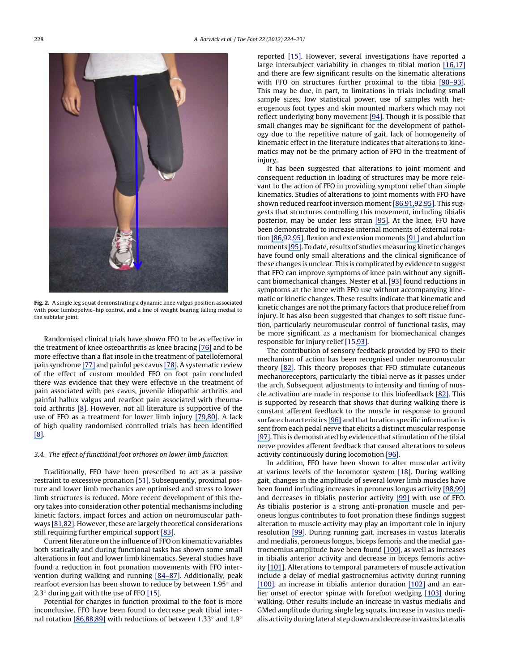

**Fig. 2.** A single leg squat demonstrating a dynamic knee valgus position associated with poor lumbopelvic–hip control, and a line of weight bearing falling medial to the subtalar joint.

Randomised clinical trials have shown FFO to be as effective in the treatment of knee osteoarthritis as knee bracing [\[76\]](https://www.researchgate.net/publication/41533108_Medial_Knee_Osteoarthritis_Treated_by_Insoles_or_Braces_A_Randomized_Trial?el=1_x_8&enrichId=rgreq-19c4d63d8ead01d979db3fb99b8b0d2d-XXX&enrichSource=Y292ZXJQYWdlOzIyNDAzNzEwNztBUzoyNDE1MjE5MjQ1MDU2MDBAMTQzNDU5NDcyMjUwOA==) and to be more effective than a flat insole in the treatment of patellofemoral pain syndrome [\[77\]](https://www.researchgate.net/publication/5548790_Foot_orthoses_and_physiotherapy_in_the_treatment_of_patellofemoral_pain_syndrome_Randomised_clinical_trial?el=1_x_8&enrichId=rgreq-19c4d63d8ead01d979db3fb99b8b0d2d-XXX&enrichSource=Y292ZXJQYWdlOzIyNDAzNzEwNztBUzoyNDE1MjE5MjQ1MDU2MDBAMTQzNDU5NDcyMjUwOA==) and painful pes cavus [\[78](https://www.researchgate.net/publication/7073314_Effective_Orthotic_Therapy_for_the_Painful_Cavus_Foot_A_Randomized_Controlled_Trial?el=1_x_8&enrichId=rgreq-19c4d63d8ead01d979db3fb99b8b0d2d-XXX&enrichSource=Y292ZXJQYWdlOzIyNDAzNzEwNztBUzoyNDE1MjE5MjQ1MDU2MDBAMTQzNDU5NDcyMjUwOA==)[\].](#page-7-0) A systematic review of the effect of custom moulded FFO on foot pain concluded there was evidence that they were effective in the treatment of pain associated with pes cavus, juvenile idiopathic arthritis and painful hallux valgus and rearfoot pain associated with rheumatoid arthritis [\[8](https://www.researchgate.net/publication/51420016_Custom-made_foot_orthoses_for_the_treatment_of_foot_pain?el=1_x_8&enrichId=rgreq-19c4d63d8ead01d979db3fb99b8b0d2d-XXX&enrichSource=Y292ZXJQYWdlOzIyNDAzNzEwNztBUzoyNDE1MjE5MjQ1MDU2MDBAMTQzNDU5NDcyMjUwOA==)[\].](#page-6-0) However, not all literature is supportive of the use of FFO as a treatment for lower limb injury [\[79,](https://www.researchgate.net/publication/15086530_A_controlled_prospective_trial_of_a_foot_orthosis_for_juvenile_hallux_valgus?el=1_x_8&enrichId=rgreq-19c4d63d8ead01d979db3fb99b8b0d2d-XXX&enrichSource=Y292ZXJQYWdlOzIyNDAzNzEwNztBUzoyNDE1MjE5MjQ1MDU2MDBAMTQzNDU5NDcyMjUwOA==)[80](https://www.researchgate.net/publication/8050273_A_Controlled_Randomized_Study_of_the_Effect_of_Training_With_Orthoses_on_the_Incidence_of_Weight_Bearing_Induced_Back_Pain_Among_Infantry_Recruits?el=1_x_8&enrichId=rgreq-19c4d63d8ead01d979db3fb99b8b0d2d-XXX&enrichSource=Y292ZXJQYWdlOzIyNDAzNzEwNztBUzoyNDE1MjE5MjQ1MDU2MDBAMTQzNDU5NDcyMjUwOA==)[\].](#page-7-0) A lack of high quality randomised controlled trials has been identified [\[8](https://www.researchgate.net/publication/51420016_Custom-made_foot_orthoses_for_the_treatment_of_foot_pain?el=1_x_8&enrichId=rgreq-19c4d63d8ead01d979db3fb99b8b0d2d-XXX&enrichSource=Y292ZXJQYWdlOzIyNDAzNzEwNztBUzoyNDE1MjE5MjQ1MDU2MDBAMTQzNDU5NDcyMjUwOA==)[\].](#page-6-0)

#### 3.4. The effect of functional foot orthoses on lower limb function

Traditionally, FFO have been prescribed to act as a passive restraint to excessive pronation [\[51\].](#page-6-0) Subsequently, proximal posture and lower limb mechanics are optimised and stress to lower limb structures is reduced. More recent development of this theory takes into consideration other potential mechanisms including kinetic factors, impact forces and action on neuromuscular path-ways [\[81](https://www.researchgate.net/publication/11672579_Subtalar_Joint_Axis_Location_and_Rotational_Equilibrium_Theory_of_Foot_Function?el=1_x_8&enrichId=rgreq-19c4d63d8ead01d979db3fb99b8b0d2d-XXX&enrichSource=Y292ZXJQYWdlOzIyNDAzNzEwNztBUzoyNDE1MjE5MjQ1MDU2MDBAMTQzNDU5NDcyMjUwOA==)[,](#page-7-0)[82](https://www.researchgate.net/publication/12154692_The_Role_of_Impact_Forces_and_Foot_Pronation_A_New_Paradigm?el=1_x_8&enrichId=rgreq-19c4d63d8ead01d979db3fb99b8b0d2d-XXX&enrichSource=Y292ZXJQYWdlOzIyNDAzNzEwNztBUzoyNDE1MjE5MjQ1MDU2MDBAMTQzNDU5NDcyMjUwOA==)[\].](#page-7-0) However, these are largely theoretical considerations still requiring further empirical support [\[83](https://www.researchgate.net/publication/26674355_A_review_of_the_theoretical_unified_approach_to_podiatric_biomechanics_in_relation_to_orthoses_theory?el=1_x_8&enrichId=rgreq-19c4d63d8ead01d979db3fb99b8b0d2d-XXX&enrichSource=Y292ZXJQYWdlOzIyNDAzNzEwNztBUzoyNDE1MjE5MjQ1MDU2MDBAMTQzNDU5NDcyMjUwOA==)[\].](#page-7-0)

Current literature on the influence of FFO on kinematic variables both statically and during functional tasks has shown some small alterations in foot and lower limb kinematics. Several studies have found a reduction in foot pronation movements with FFO intervention during walking and running [\[84](https://www.researchgate.net/publication/15133358_The_effect_of_foot_orthotics_on_three-dimensional_lower-limb_kinematics_during_walking_and_running?el=1_x_8&enrichId=rgreq-19c4d63d8ead01d979db3fb99b8b0d2d-XXX&enrichSource=Y292ZXJQYWdlOzIyNDAzNzEwNztBUzoyNDE1MjE5MjQ1MDU2MDBAMTQzNDU5NDcyMjUwOA==)[–](https://www.researchgate.net/publication/9069090_Orthotic_Comfort_Is_Related_to_Kinematics_Kinetics_and_EMG_in_Recreational_Runners?el=1_x_8&enrichId=rgreq-19c4d63d8ead01d979db3fb99b8b0d2d-XXX&enrichSource=Y292ZXJQYWdlOzIyNDAzNzEwNztBUzoyNDE1MjE5MjQ1MDU2MDBAMTQzNDU5NDcyMjUwOA==)[87](https://www.researchgate.net/publication/12083620_Effect_of_foot_orthoses_on_rearfoot_complex_kinematics_during_walking_gait?el=1_x_8&enrichId=rgreq-19c4d63d8ead01d979db3fb99b8b0d2d-XXX&enrichSource=Y292ZXJQYWdlOzIyNDAzNzEwNztBUzoyNDE1MjE5MjQ1MDU2MDBAMTQzNDU5NDcyMjUwOA==)[\].](#page-7-0) Additionally, peak rearfoot eversion has been shown to reduce by between 1.95◦ and 2.3 $\textdegree$  during gait with the use of FFO [\[15\].](#page-6-0)

Potential for changes in function proximal to the foot is more inconclusive. FFO have been found to decrease peak tibial internal rotation [\[86,](https://www.researchgate.net/publication/9069090_Orthotic_Comfort_Is_Related_to_Kinematics_Kinetics_and_EMG_in_Recreational_Runners?el=1_x_8&enrichId=rgreq-19c4d63d8ead01d979db3fb99b8b0d2d-XXX&enrichSource=Y292ZXJQYWdlOzIyNDAzNzEwNztBUzoyNDE1MjE5MjQ1MDU2MDBAMTQzNDU5NDcyMjUwOA==)[8](#page-7-0)[8,](https://www.researchgate.net/publication/12654394_The_effect_of_foot_orthoses_on_transverse_tibial_rotation_during_walking?el=1_x_8&enrichId=rgreq-19c4d63d8ead01d979db3fb99b8b0d2d-XXX&enrichSource=Y292ZXJQYWdlOzIyNDAzNzEwNztBUzoyNDE1MjE5MjQ1MDU2MDBAMTQzNDU5NDcyMjUwOA==)[8](#page-7-0)[9\]](https://www.researchgate.net/publication/15542632_The_Effect_of_Foot_Orthotics_on_Three-Dimensional_Kinematics_of_the_Leg_and_Rearfoot_During_Running?el=1_x_8&enrichId=rgreq-19c4d63d8ead01d979db3fb99b8b0d2d-XXX&enrichSource=Y292ZXJQYWdlOzIyNDAzNzEwNztBUzoyNDE1MjE5MjQ1MDU2MDBAMTQzNDU5NDcyMjUwOA==) with reductions of between 1.33◦ and 1.9◦

reported [\[15\].](#page-6-0) However, several investigations have reported a large intersubject variability in changes to tibial motion [\[16,](https://www.researchgate.net/publication/11923806_Comparison_of_2-dimensional_and_3-dimensional_rearfoot_motion_during_walking?el=1_x_8&enrichId=rgreq-19c4d63d8ead01d979db3fb99b8b0d2d-XXX&enrichSource=Y292ZXJQYWdlOzIyNDAzNzEwNztBUzoyNDE1MjE5MjQ1MDU2MDBAMTQzNDU5NDcyMjUwOA==)[17\]](https://www.researchgate.net/publication/12711687_Effect_of_foot_orthoses_on_skeletal_motion_during_running?el=1_x_8&enrichId=rgreq-19c4d63d8ead01d979db3fb99b8b0d2d-XXX&enrichSource=Y292ZXJQYWdlOzIyNDAzNzEwNztBUzoyNDE1MjE5MjQ1MDU2MDBAMTQzNDU5NDcyMjUwOA==) and there are few significant results on the kinematic alterations with FFO on structures further proximal to the tibia [\[90](https://www.researchgate.net/publication/23235258_Effect_of_foot_orthoses_on_magnitude_and_timing_of_rearfoot_and_tibial_motions_ground_reaction_force_and_knee_moment_during_running?el=1_x_8&enrichId=rgreq-19c4d63d8ead01d979db3fb99b8b0d2d-XXX&enrichSource=Y292ZXJQYWdlOzIyNDAzNzEwNztBUzoyNDE1MjE5MjQ1MDU2MDBAMTQzNDU5NDcyMjUwOA==)[–](#page-7-0)[93](https://www.researchgate.net/publication/10858790_Effect_of_Orthoses_on_the_kinematics_and_kinetics_of_normal_walking_gait?el=1_x_8&enrichId=rgreq-19c4d63d8ead01d979db3fb99b8b0d2d-XXX&enrichSource=Y292ZXJQYWdlOzIyNDAzNzEwNztBUzoyNDE1MjE5MjQ1MDU2MDBAMTQzNDU5NDcyMjUwOA==)[\].](#page-7-0) This may be due, in part, to limitations in trials including small sample sizes, low statistical power, use of samples with heterogenous foot types and skin mounted markers which may not reflect underlying bony movement [\[94](https://www.researchgate.net/publication/20830944_Measurement_of_lower_extremity_kinematics_during_level_walking?el=1_x_8&enrichId=rgreq-19c4d63d8ead01d979db3fb99b8b0d2d-XXX&enrichSource=Y292ZXJQYWdlOzIyNDAzNzEwNztBUzoyNDE1MjE5MjQ1MDU2MDBAMTQzNDU5NDcyMjUwOA==)[\].](#page-7-0) Though it is possible that small changes may be significant for the development of pathology due to the repetitive nature of gait, lack of homogeneity of kinematic effect in the literature indicates that alterations to kinematics may not be the primary action of FFO in the treatment of injury.

It has been suggested that alterations to joint moment and consequent reduction in loading of structures may be more relevant to the action of FFO in providing symptom relief than simple kinematics. Studies of alterations to joint moments with FFO have shown reduced rearfoot inversion moment [\[86,](https://www.researchgate.net/publication/9069090_Orthotic_Comfort_Is_Related_to_Kinematics_Kinetics_and_EMG_in_Recreational_Runners?el=1_x_8&enrichId=rgreq-19c4d63d8ead01d979db3fb99b8b0d2d-XXX&enrichSource=Y292ZXJQYWdlOzIyNDAzNzEwNztBUzoyNDE1MjE5MjQ1MDU2MDBAMTQzNDU5NDcyMjUwOA==)[91,](https://www.researchgate.net/publication/7177124_Influence_of_a_custom_foot_orthotic_intervention_on_lower_extremity_dynamics_in_healthy_runners?el=1_x_8&enrichId=rgreq-19c4d63d8ead01d979db3fb99b8b0d2d-XXX&enrichSource=Y292ZXJQYWdlOzIyNDAzNzEwNztBUzoyNDE1MjE5MjQ1MDU2MDBAMTQzNDU5NDcyMjUwOA==)[92,](#page-7-0)[95](https://www.researchgate.net/publication/8978040_Effect_of_Inverted_Orthoses_on_Lower-Extremity_Mechanics_in_Runners?el=1_x_8&enrichId=rgreq-19c4d63d8ead01d979db3fb99b8b0d2d-XXX&enrichSource=Y292ZXJQYWdlOzIyNDAzNzEwNztBUzoyNDE1MjE5MjQ1MDU2MDBAMTQzNDU5NDcyMjUwOA==)[\].](#page-7-0) This suggests that structures controlling this movement, including tibialis posterior, may be under less strain [\[95](https://www.researchgate.net/publication/8978040_Effect_of_Inverted_Orthoses_on_Lower-Extremity_Mechanics_in_Runners?el=1_x_8&enrichId=rgreq-19c4d63d8ead01d979db3fb99b8b0d2d-XXX&enrichSource=Y292ZXJQYWdlOzIyNDAzNzEwNztBUzoyNDE1MjE5MjQ1MDU2MDBAMTQzNDU5NDcyMjUwOA==)[\].](#page-7-0) At the knee, FFO have been demonstrated to increase internal moments of external rotation [\[86,](https://www.researchgate.net/publication/9069090_Orthotic_Comfort_Is_Related_to_Kinematics_Kinetics_and_EMG_in_Recreational_Runners?el=1_x_8&enrichId=rgreq-19c4d63d8ead01d979db3fb99b8b0d2d-XXX&enrichSource=Y292ZXJQYWdlOzIyNDAzNzEwNztBUzoyNDE1MjE5MjQ1MDU2MDBAMTQzNDU5NDcyMjUwOA==)[92,](#page-7-0)[95](https://www.researchgate.net/publication/8978040_Effect_of_Inverted_Orthoses_on_Lower-Extremity_Mechanics_in_Runners?el=1_x_8&enrichId=rgreq-19c4d63d8ead01d979db3fb99b8b0d2d-XXX&enrichSource=Y292ZXJQYWdlOzIyNDAzNzEwNztBUzoyNDE1MjE5MjQ1MDU2MDBAMTQzNDU5NDcyMjUwOA==)[\],](#page-7-0) flexion and extension moments [\[91\]](https://www.researchgate.net/publication/7177124_Influence_of_a_custom_foot_orthotic_intervention_on_lower_extremity_dynamics_in_healthy_runners?el=1_x_8&enrichId=rgreq-19c4d63d8ead01d979db3fb99b8b0d2d-XXX&enrichSource=Y292ZXJQYWdlOzIyNDAzNzEwNztBUzoyNDE1MjE5MjQ1MDU2MDBAMTQzNDU5NDcyMjUwOA==) and abduction moments [\[95](https://www.researchgate.net/publication/8978040_Effect_of_Inverted_Orthoses_on_Lower-Extremity_Mechanics_in_Runners?el=1_x_8&enrichId=rgreq-19c4d63d8ead01d979db3fb99b8b0d2d-XXX&enrichSource=Y292ZXJQYWdlOzIyNDAzNzEwNztBUzoyNDE1MjE5MjQ1MDU2MDBAMTQzNDU5NDcyMjUwOA==)[\].](#page-7-0) To date, results of studies measuring kinetic changes have found only small alterations and the clinical significance of these changes is unclear. This is complicated by evidence to suggest that FFO can improve symptoms of knee pain without any significant biomechanical changes. Nester et al. [\[93\]](https://www.researchgate.net/publication/10858790_Effect_of_Orthoses_on_the_kinematics_and_kinetics_of_normal_walking_gait?el=1_x_8&enrichId=rgreq-19c4d63d8ead01d979db3fb99b8b0d2d-XXX&enrichSource=Y292ZXJQYWdlOzIyNDAzNzEwNztBUzoyNDE1MjE5MjQ1MDU2MDBAMTQzNDU5NDcyMjUwOA==) found reductions in symptoms at the knee with FFO use without accompanying kinematic or kinetic changes. These results indicate that kinematic and kinetic changes are not the primary factors that produce relief from injury. It has also been suggested that changes to soft tissue function, particularly neuromuscular control of functional tasks, may be more significant as a mechanism for biomechanical changes responsible for injury relief [\[15,](#page-6-0)[93](https://www.researchgate.net/publication/10858790_Effect_of_Orthoses_on_the_kinematics_and_kinetics_of_normal_walking_gait?el=1_x_8&enrichId=rgreq-19c4d63d8ead01d979db3fb99b8b0d2d-XXX&enrichSource=Y292ZXJQYWdlOzIyNDAzNzEwNztBUzoyNDE1MjE5MjQ1MDU2MDBAMTQzNDU5NDcyMjUwOA==)[\].](#page-6-0)

The contribution of sensory feedback provided by FFO to their mechanism of action has been recognised under neuromuscular theory [\[82](https://www.researchgate.net/publication/12154692_The_Role_of_Impact_Forces_and_Foot_Pronation_A_New_Paradigm?el=1_x_8&enrichId=rgreq-19c4d63d8ead01d979db3fb99b8b0d2d-XXX&enrichSource=Y292ZXJQYWdlOzIyNDAzNzEwNztBUzoyNDE1MjE5MjQ1MDU2MDBAMTQzNDU5NDcyMjUwOA==)[\].](#page-7-0) This theory proposes that FFO stimulate cutaneous mechanoreceptors, particularly the tibial nerve as it passes under the arch. Subsequent adjustments to intensity and timing of muscle activation are made in response to this biofeedback [\[82](https://www.researchgate.net/publication/12154692_The_Role_of_Impact_Forces_and_Foot_Pronation_A_New_Paradigm?el=1_x_8&enrichId=rgreq-19c4d63d8ead01d979db3fb99b8b0d2d-XXX&enrichSource=Y292ZXJQYWdlOzIyNDAzNzEwNztBUzoyNDE1MjE5MjQ1MDU2MDBAMTQzNDU5NDcyMjUwOA==)[\].](#page-7-0) This is supported by research that shows that during walking there is constant afferent feedback to the muscle in response to ground surface characteristics [\[96\]](https://www.researchgate.net/publication/8358219_Contribution_of_afferent_feedback_to_the_soleus_muscle_activity_during_human_locomotion?el=1_x_8&enrichId=rgreq-19c4d63d8ead01d979db3fb99b8b0d2d-XXX&enrichSource=Y292ZXJQYWdlOzIyNDAzNzEwNztBUzoyNDE1MjE5MjQ1MDU2MDBAMTQzNDU5NDcyMjUwOA==) and that location specific information is sent from each pedal nerve that elicits a distinct muscular response [\[97](https://www.researchgate.net/publication/14085744_Dynamic_control_of_location-specific_information_in_tactile_cutaneous_reflexes_from_the_foot_during_human_walking?el=1_x_8&enrichId=rgreq-19c4d63d8ead01d979db3fb99b8b0d2d-XXX&enrichSource=Y292ZXJQYWdlOzIyNDAzNzEwNztBUzoyNDE1MjE5MjQ1MDU2MDBAMTQzNDU5NDcyMjUwOA==)[\].](#page-7-0) This is demonstrated by evidence that stimulation of the tibial nerve provides afferent feedback that caused alterations to soleus activity continuously during locomotion [\[96](https://www.researchgate.net/publication/8358219_Contribution_of_afferent_feedback_to_the_soleus_muscle_activity_during_human_locomotion?el=1_x_8&enrichId=rgreq-19c4d63d8ead01d979db3fb99b8b0d2d-XXX&enrichSource=Y292ZXJQYWdlOzIyNDAzNzEwNztBUzoyNDE1MjE5MjQ1MDU2MDBAMTQzNDU5NDcyMjUwOA==)[\].](#page-7-0)

In addition, FFO have been shown to alter muscular activity at various levels of the locomotor system [\[18\].](#page-6-0) During walking gait, changes in the amplitude of several lower limb muscles have been found including increases in peroneus longus activity [\[98,](https://www.researchgate.net/publication/6857165_The_effect_of_three_levels_of_foot_orthotic_wedging_on_the_surface_electromyographic_activity_of_selected_lower_limb_muscles_during_gait?el=1_x_8&enrichId=rgreq-19c4d63d8ead01d979db3fb99b8b0d2d-XXX&enrichSource=Y292ZXJQYWdlOzIyNDAzNzEwNztBUzoyNDE1MjE5MjQ1MDU2MDBAMTQzNDU5NDcyMjUwOA==)[9](#page-7-0)[9\]](https://www.researchgate.net/publication/44663877_Do_foot_orthoses_change_lower_limb_muscle_activity_in_flat-arched_feet_towards_a_pattern_observed_in_normal-arched_feet?el=1_x_8&enrichId=rgreq-19c4d63d8ead01d979db3fb99b8b0d2d-XXX&enrichSource=Y292ZXJQYWdlOzIyNDAzNzEwNztBUzoyNDE1MjE5MjQ1MDU2MDBAMTQzNDU5NDcyMjUwOA==) and decreases in tibialis posterior activity [\[99\]](https://www.researchgate.net/publication/44663877_Do_foot_orthoses_change_lower_limb_muscle_activity_in_flat-arched_feet_towards_a_pattern_observed_in_normal-arched_feet?el=1_x_8&enrichId=rgreq-19c4d63d8ead01d979db3fb99b8b0d2d-XXX&enrichSource=Y292ZXJQYWdlOzIyNDAzNzEwNztBUzoyNDE1MjE5MjQ1MDU2MDBAMTQzNDU5NDcyMjUwOA==) with use of FFO. As tibialis posterior is a strong anti-pronation muscle and peroneus longus contributes to foot pronation these findings suggest alteration to muscle activity may play an important role in injury resolution [\[99](https://www.researchgate.net/publication/44663877_Do_foot_orthoses_change_lower_limb_muscle_activity_in_flat-arched_feet_towards_a_pattern_observed_in_normal-arched_feet?el=1_x_8&enrichId=rgreq-19c4d63d8ead01d979db3fb99b8b0d2d-XXX&enrichSource=Y292ZXJQYWdlOzIyNDAzNzEwNztBUzoyNDE1MjE5MjQ1MDU2MDBAMTQzNDU5NDcyMjUwOA==)[\].](#page-7-0) During running gait, increases in vastus lateralis and medialis, peroneus longus, biceps femoris and the medial gastrocnemius amplitude have been found [\[100](https://www.researchgate.net/publication/7795385_Foot_orthoses_affect_frequency_components_of_muscle_activity_in_the_lower_extremity?el=1_x_8&enrichId=rgreq-19c4d63d8ead01d979db3fb99b8b0d2d-XXX&enrichSource=Y292ZXJQYWdlOzIyNDAzNzEwNztBUzoyNDE1MjE5MjQ1MDU2MDBAMTQzNDU5NDcyMjUwOA==)[\],](#page-7-0) as well as increases in tibialis anterior activity and decrease in biceps femoris activity [\[101](https://www.researchgate.net/publication/12971615_Electromyographic_effects_of_foot_orthotics_on_selected_lower_extremity_muscles_during_running?el=1_x_8&enrichId=rgreq-19c4d63d8ead01d979db3fb99b8b0d2d-XXX&enrichSource=Y292ZXJQYWdlOzIyNDAzNzEwNztBUzoyNDE1MjE5MjQ1MDU2MDBAMTQzNDU5NDcyMjUwOA==)[\].](#page-7-0) Alterations to temporal parameters of muscle activation include a delay of medial gastrocnemius activity during running [\[100](https://www.researchgate.net/publication/7795385_Foot_orthoses_affect_frequency_components_of_muscle_activity_in_the_lower_extremity?el=1_x_8&enrichId=rgreq-19c4d63d8ead01d979db3fb99b8b0d2d-XXX&enrichSource=Y292ZXJQYWdlOzIyNDAzNzEwNztBUzoyNDE1MjE5MjQ1MDU2MDBAMTQzNDU5NDcyMjUwOA==)[\],](#page-7-0) an increase in tibialis anterior duration [\[102\]](https://www.researchgate.net/publication/14979693_The_Effects_of_Foot_Orthotics_on_the_EMG_Activity_of_Selected_Leg_Muscles_during_Gait?el=1_x_8&enrichId=rgreq-19c4d63d8ead01d979db3fb99b8b0d2d-XXX&enrichSource=Y292ZXJQYWdlOzIyNDAzNzEwNztBUzoyNDE1MjE5MjQ1MDU2MDBAMTQzNDU5NDcyMjUwOA==) and an earlier onset of erector spinae with forefoot wedging [\[103\]](https://www.researchgate.net/publication/8977796_The_effect_of_foot_wedging_on_electromyographic_activity_in_the_erector_spinae_and_gluteus_medius_muscles_during_walking?el=1_x_8&enrichId=rgreq-19c4d63d8ead01d979db3fb99b8b0d2d-XXX&enrichSource=Y292ZXJQYWdlOzIyNDAzNzEwNztBUzoyNDE1MjE5MjQ1MDU2MDBAMTQzNDU5NDcyMjUwOA==) during walking. Other results include an increase in vastus medialis and GMed amplitude during single leg squats, increase in vastus medialis activity during lateral step down and decrease in vastus lateralis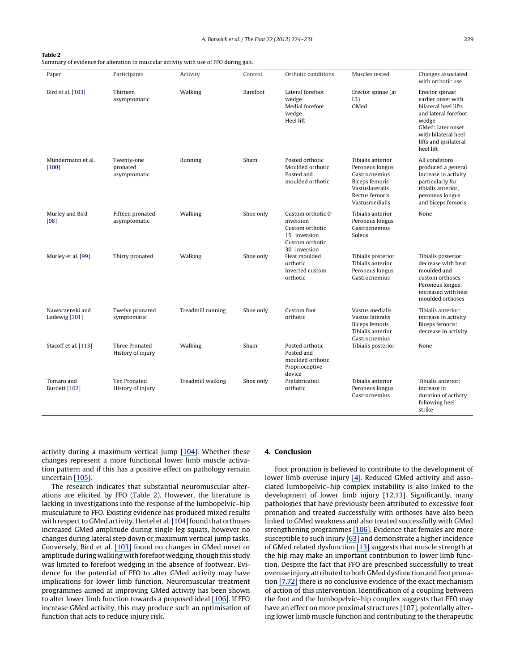#### **Table 2**

Summary of evidence for alteration to muscular activity with use of FFO during gait.

| Paper                            | Participants                           | Activity          | Control   | Orthotic conditions                                                                                                          | Muscles tested                                                                                                                 | Changes associated<br>with orthotic use                                                                                                                                          |
|----------------------------------|----------------------------------------|-------------------|-----------|------------------------------------------------------------------------------------------------------------------------------|--------------------------------------------------------------------------------------------------------------------------------|----------------------------------------------------------------------------------------------------------------------------------------------------------------------------------|
| Bird et al. [103]                | Thirteen<br>asymptomatic               | Walking           | Barefoot  | Lateral forefoot<br>wedge<br>Medial forefoot<br>wedge<br>Heel lift                                                           | Erector spinae (at<br>L3)<br>GMed                                                                                              | Erector spinae:<br>earlier onset with<br>bilateral heel lifts<br>and lateral forefoot<br>wedge<br>GMed: later onset<br>with bilateral heel<br>lifts and ipsilateral<br>heel lift |
| Mündermann et al.<br>$[100]$     | Twenty-one<br>pronated<br>asymptomatic | Running           | Sham      | Posted orthotic<br>Moulded orthotic<br>Posted and<br>moulded orthotic                                                        | Tibialis anterior<br>Peroneus longus<br>Gastrocnemius<br>Biceps femoris<br>Vastuslateralis<br>Rectus femoris<br>Vastusmedialis | All conditions<br>produced a general<br>increase in activity<br>particularly for<br>tibialis anterior,<br>peroneus longus<br>and biceps femoris                                  |
| Murley and Bird<br>[98]          | Fifteen pronated<br>asymptomatic       | Walking           | Shoe only | Custom orthotic $0^\circ$<br>inversion<br>Custom orthotic<br>$15^\circ$ inversion<br>Custom orthotic<br>$30^\circ$ inversion | Tibialis anterior<br>Peroneus longus<br>Gastrocnemius<br>Soleus                                                                | None                                                                                                                                                                             |
| Murley et al. [99]               | Thirty pronated                        | Walking           | Shoe only | Heat moulded<br>orthotic<br>Inverted custom<br>orthotic                                                                      | Tibialis posterior<br>Tibialis anterior<br>Peroneus longus<br>Gastrocnemius                                                    | Tibialis posterior:<br>decrease with heat<br>moulded and<br>custom orthoses<br>Peroneus longus:<br>increased with heat<br>moulded orthoses                                       |
| Nawoczenski and<br>Ludewig [101] | Twelve pronated<br>symptomatic         | Treadmill running | Shoe only | Custom foot<br>orthotic                                                                                                      | Vastus medialis<br>Vastus lateralis<br>Biceps femoris<br>Tibialis anterior<br>Gastrocnemius                                    | Tibialis anterior:<br>increase in activity<br>Biceps femoris:<br>decrease in activity                                                                                            |
| Stacoff et al. [113]             | Three Pronated<br>History of injury    | Walking           | Sham      | Posted orthotic<br>Posted and<br>moulded orthotic<br>Proprioceptive<br>device                                                | Tibialis posterior                                                                                                             | None                                                                                                                                                                             |
| Tomaro and<br>Burdett [102]      | Ten Pronated<br>History of injury      | Treadmill walking | Shoe only | Prefabricated<br>orthotic                                                                                                    | Tibialis anterior<br>Peroneus longus<br>Gastrocnemius                                                                          | Tibialis anterior:<br>increase in<br>duration of activity<br>following heel<br>strike                                                                                            |

activity during a maximum vertical jump [\[104](https://www.researchgate.net/publication/8090316_Effect_of_foot_orthotics_on_quadriceps_and_gluteus_medius_electromyographic_activity_during_selected_exercises?el=1_x_8&enrichId=rgreq-19c4d63d8ead01d979db3fb99b8b0d2d-XXX&enrichSource=Y292ZXJQYWdlOzIyNDAzNzEwNztBUzoyNDE1MjE5MjQ1MDU2MDBAMTQzNDU5NDcyMjUwOA==)[\].](#page-7-0) Whether these changes represent a more functional lower limb muscle activation pattern and if this has a positive effect on pathology remain uncertain [\[105](https://www.researchgate.net/publication/5793889_Tibialis_posterior_EMG_activity_during_barefoot_walking_in_people_with_neutral_foot_posture?el=1_x_8&enrichId=rgreq-19c4d63d8ead01d979db3fb99b8b0d2d-XXX&enrichSource=Y292ZXJQYWdlOzIyNDAzNzEwNztBUzoyNDE1MjE5MjQ1MDU2MDBAMTQzNDU5NDcyMjUwOA==)[\].](#page-7-0)

The research indicates that substantial neuromuscular alterations are elicited by FFO (Table 2). However, the literature is lacking in investigations into the response of the lumbopelvic–hip musculature to FFO. Existing evidence has produced mixed results with respect to GMed activity. Hertel et al. [\[104\]](https://www.researchgate.net/publication/8090316_Effect_of_foot_orthotics_on_quadriceps_and_gluteus_medius_electromyographic_activity_during_selected_exercises?el=1_x_8&enrichId=rgreq-19c4d63d8ead01d979db3fb99b8b0d2d-XXX&enrichSource=Y292ZXJQYWdlOzIyNDAzNzEwNztBUzoyNDE1MjE5MjQ1MDU2MDBAMTQzNDU5NDcyMjUwOA==) [fo](#page-7-0)und that orthoses increased GMed amplitude during single leg squats, however no changes during lateral step down or maximum vertical jump tasks. Conversely, Bird et al. [\[103\]](https://www.researchgate.net/publication/8977796_The_effect_of_foot_wedging_on_electromyographic_activity_in_the_erector_spinae_and_gluteus_medius_muscles_during_walking?el=1_x_8&enrichId=rgreq-19c4d63d8ead01d979db3fb99b8b0d2d-XXX&enrichSource=Y292ZXJQYWdlOzIyNDAzNzEwNztBUzoyNDE1MjE5MjQ1MDU2MDBAMTQzNDU5NDcyMjUwOA==) found no changes in GMed onset or amplitude during walking with forefoot wedging, though this study was limited to forefoot wedging in the absence of footwear. Evidence for the potential of FFO to alter GMed activity may have implications for lower limb function. Neuromuscular treatment programmes aimed at improving GMed activity has been shown to alter lower limb function towards a proposed ideal [\[106](https://www.researchgate.net/publication/23477954_Resistance_training_is_accompanied_by_increases_in_hip_strength_and_changes_in_lower_extremity_biomechanics_during_running?el=1_x_8&enrichId=rgreq-19c4d63d8ead01d979db3fb99b8b0d2d-XXX&enrichSource=Y292ZXJQYWdlOzIyNDAzNzEwNztBUzoyNDE1MjE5MjQ1MDU2MDBAMTQzNDU5NDcyMjUwOA==)[\].](#page-7-0) If FFO increase GMed activity, this may produce such an optimisation of function that acts to reduce injury risk.

#### **4. Conclusion**

Foot pronation is believed to contribute to the development of lower limb overuse injury [\[4](https://www.researchgate.net/publication/222811308_An_overview_of_podiatric_biomechanics_theory_and_its_relation_to_selected_gait_dysfunction?el=1_x_8&enrichId=rgreq-19c4d63d8ead01d979db3fb99b8b0d2d-XXX&enrichSource=Y292ZXJQYWdlOzIyNDAzNzEwNztBUzoyNDE1MjE5MjQ1MDU2MDBAMTQzNDU5NDcyMjUwOA==)[\].](#page-6-0) Reduced GMed activity and associated lumbopelvic–hip complex instability is also linked to the development of lower limb injury [\[12,](https://www.researchgate.net/publication/288294014_Hip_strength_in_females_with_and_without_patellofemoral_pain?el=1_x_8&enrichId=rgreq-19c4d63d8ead01d979db3fb99b8b0d2d-XXX&enrichSource=Y292ZXJQYWdlOzIyNDAzNzEwNztBUzoyNDE1MjE5MjQ1MDU2MDBAMTQzNDU5NDcyMjUwOA==)[13](https://www.researchgate.net/publication/7219818_Anterior_cruciate_ligament_injury_in_female_athletes_Epidemiology?el=1_x_8&enrichId=rgreq-19c4d63d8ead01d979db3fb99b8b0d2d-XXX&enrichSource=Y292ZXJQYWdlOzIyNDAzNzEwNztBUzoyNDE1MjE5MjQ1MDU2MDBAMTQzNDU5NDcyMjUwOA==)[\].](#page-6-0) Significantly, many pathologies that have previously been attributed to excessive foot pronation and treated successfully with orthoses have also been linked to GMed weakness and also treated successfully with GMed strengthening programmes [\[106](https://www.researchgate.net/publication/23477954_Resistance_training_is_accompanied_by_increases_in_hip_strength_and_changes_in_lower_extremity_biomechanics_during_running?el=1_x_8&enrichId=rgreq-19c4d63d8ead01d979db3fb99b8b0d2d-XXX&enrichSource=Y292ZXJQYWdlOzIyNDAzNzEwNztBUzoyNDE1MjE5MjQ1MDU2MDBAMTQzNDU5NDcyMjUwOA==)[\].](#page-7-0) Evidence that females are more susceptible to such injury [\[63\]](https://www.researchgate.net/publication/11447542_A_retrospective_case-control_analysis_of_2002_running_injuries?el=1_x_8&enrichId=rgreq-19c4d63d8ead01d979db3fb99b8b0d2d-XXX&enrichSource=Y292ZXJQYWdlOzIyNDAzNzEwNztBUzoyNDE1MjE5MjQ1MDU2MDBAMTQzNDU5NDcyMjUwOA==) and demonstrate a higher incidence of GMed related dysfunction [\[13\]](https://www.researchgate.net/publication/7219818_Anterior_cruciate_ligament_injury_in_female_athletes_Epidemiology?el=1_x_8&enrichId=rgreq-19c4d63d8ead01d979db3fb99b8b0d2d-XXX&enrichSource=Y292ZXJQYWdlOzIyNDAzNzEwNztBUzoyNDE1MjE5MjQ1MDU2MDBAMTQzNDU5NDcyMjUwOA==) suggests that muscle strength at the hip may make an important contribution to lower limb function. Despite the fact that FFO are prescribed successfully to treat overuse injury attributed to both GMed dysfunction and foot pronation [\[7,](https://www.researchgate.net/publication/6435052_Foot_Orthoses_in_Lower_Limb_Overuse_Conditions_A_Systematic_Review_and_Meta-Analysis?el=1_x_8&enrichId=rgreq-19c4d63d8ead01d979db3fb99b8b0d2d-XXX&enrichSource=Y292ZXJQYWdlOzIyNDAzNzEwNztBUzoyNDE1MjE5MjQ1MDU2MDBAMTQzNDU5NDcyMjUwOA==)[7](#page-6-0)[2\]](https://www.researchgate.net/publication/6531678_The_Effect_of_Foot_Orthoses_on_Patellofemoral_Pain_Syndrome?el=1_x_8&enrichId=rgreq-19c4d63d8ead01d979db3fb99b8b0d2d-XXX&enrichSource=Y292ZXJQYWdlOzIyNDAzNzEwNztBUzoyNDE1MjE5MjQ1MDU2MDBAMTQzNDU5NDcyMjUwOA==) there is no conclusive evidence of the exact mechanism of action of this intervention. Identification of a coupling between the foot and the lumbopelvic–hip complex suggests that FFO may have an effect on more proximal structures [\[107\],](#page-7-0) potentially altering lower limb muscle function and contributing to the therapeutic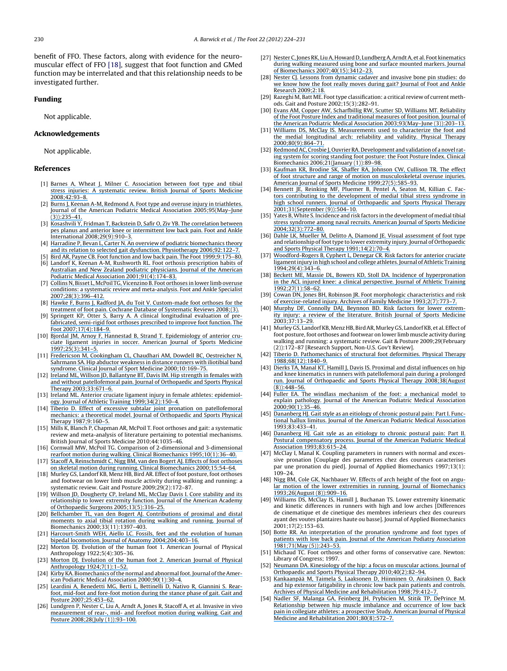<span id="page-6-0"></span>benefit of FFO. These factors, along with evidence for the neuromuscular effect of FFO [18], suggest that foot function and GMed function may be interrelated and that this relationship needs to be investigated further.

#### **Funding**

Not applicable.

#### **Acknowledgements**

Not applicable.

#### **References**

- [1] Barnes A, Wheat J, Milner C. [Association](https://www.researchgate.net/publication/5862882_Association_between_foot_type_and_tibial_stress_injuries_A_systematic_review?el=1_x_8&enrichId=rgreq-19c4d63d8ead01d979db3fb99b8b0d2d-XXX&enrichSource=Y292ZXJQYWdlOzIyNDAzNzEwNztBUzoyNDE1MjE5MjQ1MDU2MDBAMTQzNDU5NDcyMjUwOA==) between foot type and tibial stress injuries: A [systematic](https://www.researchgate.net/publication/5862882_Association_between_foot_type_and_tibial_stress_injuries_A_systematic_review?el=1_x_8&enrichId=rgreq-19c4d63d8ead01d979db3fb99b8b0d2d-XXX&enrichSource=Y292ZXJQYWdlOzIyNDAzNzEwNztBUzoyNDE1MjE5MjQ1MDU2MDBAMTQzNDU5NDcyMjUwOA==) review. British Journal of Sports Medicine [2008;42:93–8.](https://www.researchgate.net/publication/5862882_Association_between_foot_type_and_tibial_stress_injuries_A_systematic_review?el=1_x_8&enrichId=rgreq-19c4d63d8ead01d979db3fb99b8b0d2d-XXX&enrichSource=Y292ZXJQYWdlOzIyNDAzNzEwNztBUzoyNDE1MjE5MjQ1MDU2MDBAMTQzNDU5NDcyMjUwOA==)
- [2] Burns J, Keenan A-M, Redmond A. Foot type and overuse injury in [triathletes.](https://www.researchgate.net/publication/7839426_Foot_Type_and_Overuse_Injury_in_Triathletes?el=1_x_8&enrichId=rgreq-19c4d63d8ead01d979db3fb99b8b0d2d-XXX&enrichSource=Y292ZXJQYWdlOzIyNDAzNzEwNztBUzoyNDE1MjE5MjQ1MDU2MDBAMTQzNDU5NDcyMjUwOA==) Journal of the American Podiatric Medical Association [2005;95\(May–June](https://www.researchgate.net/publication/7839426_Foot_Type_and_Overuse_Injury_in_Triathletes?el=1_x_8&enrichId=rgreq-19c4d63d8ead01d979db3fb99b8b0d2d-XXX&enrichSource=Y292ZXJQYWdlOzIyNDAzNzEwNztBUzoyNDE1MjE5MjQ1MDU2MDBAMTQzNDU5NDcyMjUwOA==)  $(3)$ ):  $235 - 41$
- [3] Kosashvili Y, Fridman T, Backstein D, Safir O, Ziv YB. The [correlation](https://www.researchgate.net/publication/23244444_The_Correlation_Between_Pes_Planus_and_Anterior_Knee_or_Intermittent_Low_Back_Pain?el=1_x_8&enrichId=rgreq-19c4d63d8ead01d979db3fb99b8b0d2d-XXX&enrichSource=Y292ZXJQYWdlOzIyNDAzNzEwNztBUzoyNDE1MjE5MjQ1MDU2MDBAMTQzNDU5NDcyMjUwOA==) between pes planus and anterior knee or [intermittent](https://www.researchgate.net/publication/23244444_The_Correlation_Between_Pes_Planus_and_Anterior_Knee_or_Intermittent_Low_Back_Pain?el=1_x_8&enrichId=rgreq-19c4d63d8ead01d979db3fb99b8b0d2d-XXX&enrichSource=Y292ZXJQYWdlOzIyNDAzNzEwNztBUzoyNDE1MjE5MjQ1MDU2MDBAMTQzNDU5NDcyMjUwOA==) low back pain. Foot and Ankle International [2008;29\(9\):910–3.](https://www.researchgate.net/publication/23244444_The_Correlation_Between_Pes_Planus_and_Anterior_Knee_or_Intermittent_Low_Back_Pain?el=1_x_8&enrichId=rgreq-19c4d63d8ead01d979db3fb99b8b0d2d-XXX&enrichSource=Y292ZXJQYWdlOzIyNDAzNzEwNztBUzoyNDE1MjE5MjQ1MDU2MDBAMTQzNDU5NDcyMjUwOA==)
- [4] Harradine P, Bevan L, Carter N. An overview of podiatric [biomechanics](https://www.researchgate.net/publication/222811308_An_overview_of_podiatric_biomechanics_theory_and_its_relation_to_selected_gait_dysfunction?el=1_x_8&enrichId=rgreq-19c4d63d8ead01d979db3fb99b8b0d2d-XXX&enrichSource=Y292ZXJQYWdlOzIyNDAzNzEwNztBUzoyNDE1MjE5MjQ1MDU2MDBAMTQzNDU5NDcyMjUwOA==) theory and its relation to selected gait dysfunction. Physiotherapy [2006;92:122–7.](https://www.researchgate.net/publication/222811308_An_overview_of_podiatric_biomechanics_theory_and_its_relation_to_selected_gait_dysfunction?el=1_x_8&enrichId=rgreq-19c4d63d8ead01d979db3fb99b8b0d2d-XXX&enrichSource=Y292ZXJQYWdlOzIyNDAzNzEwNztBUzoyNDE1MjE5MjQ1MDU2MDBAMTQzNDU5NDcyMjUwOA==)
- [5] Bird AR, Payne CB. Foot function and low back pain. The Foot [1999;9:175–80.](https://www.researchgate.net/publication/244877260_Foot_function_and_low_back_pain?el=1_x_8&enrichId=rgreq-19c4d63d8ead01d979db3fb99b8b0d2d-XXX&enrichSource=Y292ZXJQYWdlOzIyNDAzNzEwNztBUzoyNDE1MjE5MjQ1MDU2MDBAMTQzNDU5NDcyMjUwOA==) [6] Landorf K, Keenan A-M, Rushworth RL. Foot orthosis [prescription](https://www.researchgate.net/publication/12017190_Foot_Orthosis_Prescription_Habits_of_Australian_and_New_Zealand_Podiatric_Physicians?el=1_x_8&enrichId=rgreq-19c4d63d8ead01d979db3fb99b8b0d2d-XXX&enrichSource=Y292ZXJQYWdlOzIyNDAzNzEwNztBUzoyNDE1MjE5MjQ1MDU2MDBAMTQzNDU5NDcyMjUwOA==) habits of Australian and New Zealand podiatric [physicians.](https://www.researchgate.net/publication/12017190_Foot_Orthosis_Prescription_Habits_of_Australian_and_New_Zealand_Podiatric_Physicians?el=1_x_8&enrichId=rgreq-19c4d63d8ead01d979db3fb99b8b0d2d-XXX&enrichSource=Y292ZXJQYWdlOzIyNDAzNzEwNztBUzoyNDE1MjE5MjQ1MDU2MDBAMTQzNDU5NDcyMjUwOA==) Journal of the American
- Podiatric Medical Association [2001;91\(4\):174–83.](https://www.researchgate.net/publication/12017190_Foot_Orthosis_Prescription_Habits_of_Australian_and_New_Zealand_Podiatric_Physicians?el=1_x_8&enrichId=rgreq-19c4d63d8ead01d979db3fb99b8b0d2d-XXX&enrichSource=Y292ZXJQYWdlOzIyNDAzNzEwNztBUzoyNDE1MjE5MjQ1MDU2MDBAMTQzNDU5NDcyMjUwOA==) [7] Collins N, Bisset L, McPoil [TG,Vicenzino](https://www.researchgate.net/publication/6435052_Foot_Orthoses_in_Lower_Limb_Overuse_Conditions_A_Systematic_Review_and_Meta-Analysis?el=1_x_8&enrichId=rgreq-19c4d63d8ead01d979db3fb99b8b0d2d-XXX&enrichSource=Y292ZXJQYWdlOzIyNDAzNzEwNztBUzoyNDE1MjE5MjQ1MDU2MDBAMTQzNDU5NDcyMjUwOA==) B. Foot orthoses in lower limb overuse conditions: a systematic review and [meta-analysis.](https://www.researchgate.net/publication/6435052_Foot_Orthoses_in_Lower_Limb_Overuse_Conditions_A_Systematic_Review_and_Meta-Analysis?el=1_x_8&enrichId=rgreq-19c4d63d8ead01d979db3fb99b8b0d2d-XXX&enrichSource=Y292ZXJQYWdlOzIyNDAzNzEwNztBUzoyNDE1MjE5MjQ1MDU2MDBAMTQzNDU5NDcyMjUwOA==) Foot and Ankle Specialist [2007;28\(3\):396–412.](https://www.researchgate.net/publication/6435052_Foot_Orthoses_in_Lower_Limb_Overuse_Conditions_A_Systematic_Review_and_Meta-Analysis?el=1_x_8&enrichId=rgreq-19c4d63d8ead01d979db3fb99b8b0d2d-XXX&enrichSource=Y292ZXJQYWdlOzIyNDAzNzEwNztBUzoyNDE1MjE5MjQ1MDU2MDBAMTQzNDU5NDcyMjUwOA==)
- [8] Hawke F, Burns J, Radford JA, du Toit V. [Custom-made](https://www.researchgate.net/publication/51420016_Custom-made_foot_orthoses_for_the_treatment_of_foot_pain?el=1_x_8&enrichId=rgreq-19c4d63d8ead01d979db3fb99b8b0d2d-XXX&enrichSource=Y292ZXJQYWdlOzIyNDAzNzEwNztBUzoyNDE1MjE5MjQ1MDU2MDBAMTQzNDU5NDcyMjUwOA==) foot orthoses for the treatment of foot pain. Cochrane Database of [Systematic](https://www.researchgate.net/publication/51420016_Custom-made_foot_orthoses_for_the_treatment_of_foot_pain?el=1_x_8&enrichId=rgreq-19c4d63d8ead01d979db3fb99b8b0d2d-XXX&enrichSource=Y292ZXJQYWdlOzIyNDAzNzEwNztBUzoyNDE1MjE5MjQ1MDU2MDBAMTQzNDU5NDcyMjUwOA==) Reviews 2008;(3).
- [9] Springett KP, Otter S, Barry A. A clinical [longitudinal](https://www.researchgate.net/publication/244877450_A_clinical_longitudinal_evaluation_of_pre-fabricated_semi-rigid_foot_orthoses_prescribed_to_improve_foot_function?el=1_x_8&enrichId=rgreq-19c4d63d8ead01d979db3fb99b8b0d2d-XXX&enrichSource=Y292ZXJQYWdlOzIyNDAzNzEwNztBUzoyNDE1MjE5MjQ1MDU2MDBAMTQzNDU5NDcyMjUwOA==) evaluation of prefabricated, semi-rigid foot orthoses [prescribed](https://www.researchgate.net/publication/244877450_A_clinical_longitudinal_evaluation_of_pre-fabricated_semi-rigid_foot_orthoses_prescribed_to_improve_foot_function?el=1_x_8&enrichId=rgreq-19c4d63d8ead01d979db3fb99b8b0d2d-XXX&enrichSource=Y292ZXJQYWdlOzIyNDAzNzEwNztBUzoyNDE1MjE5MjQ1MDU2MDBAMTQzNDU5NDcyMjUwOA==) to improve foot function. The Foot [2007;17\(4\):184–9.](https://www.researchgate.net/publication/244877450_A_clinical_longitudinal_evaluation_of_pre-fabricated_semi-rigid_foot_orthoses_prescribed_to_improve_foot_function?el=1_x_8&enrichId=rgreq-19c4d63d8ead01d979db3fb99b8b0d2d-XXX&enrichSource=Y292ZXJQYWdlOzIyNDAzNzEwNztBUzoyNDE1MjE5MjQ1MDU2MDBAMTQzNDU5NDcyMjUwOA==)
- [10] Bjordal JM, Arnoy F, Hannestad B, Strand T. [Epidemiology](https://www.researchgate.net/publication/14050534_Epidemiology_of_Anterior_Cruciate_Ligament_Injuries_in_Soccer?el=1_x_8&enrichId=rgreq-19c4d63d8ead01d979db3fb99b8b0d2d-XXX&enrichSource=Y292ZXJQYWdlOzIyNDAzNzEwNztBUzoyNDE1MjE5MjQ1MDU2MDBAMTQzNDU5NDcyMjUwOA==) of anterior cruciate ligament injuries in soccer. [American](https://www.researchgate.net/publication/14050534_Epidemiology_of_Anterior_Cruciate_Ligament_Injuries_in_Soccer?el=1_x_8&enrichId=rgreq-19c4d63d8ead01d979db3fb99b8b0d2d-XXX&enrichSource=Y292ZXJQYWdlOzIyNDAzNzEwNztBUzoyNDE1MjE5MjQ1MDU2MDBAMTQzNDU5NDcyMjUwOA==) Journal of Sports Medicine [1997;25\(3\):341–5.](https://www.researchgate.net/publication/14050534_Epidemiology_of_Anterior_Cruciate_Ligament_Injuries_in_Soccer?el=1_x_8&enrichId=rgreq-19c4d63d8ead01d979db3fb99b8b0d2d-XXX&enrichSource=Y292ZXJQYWdlOzIyNDAzNzEwNztBUzoyNDE1MjE5MjQ1MDU2MDBAMTQzNDU5NDcyMjUwOA==)
- [11] Fredericson M, [Cookingham](https://www.researchgate.net/publication/12361904_Hip_Abductor_Weakness_in_Distance_Runners_with_Iliotibial_Band_Syndrome?el=1_x_8&enrichId=rgreq-19c4d63d8ead01d979db3fb99b8b0d2d-XXX&enrichSource=Y292ZXJQYWdlOzIyNDAzNzEwNztBUzoyNDE1MjE5MjQ1MDU2MDBAMTQzNDU5NDcyMjUwOA==) CL, Chaudhari AM, Dowdell BC, Oestreicher N, [Sahrmann](https://www.researchgate.net/publication/12361904_Hip_Abductor_Weakness_in_Distance_Runners_with_Iliotibial_Band_Syndrome?el=1_x_8&enrichId=rgreq-19c4d63d8ead01d979db3fb99b8b0d2d-XXX&enrichSource=Y292ZXJQYWdlOzIyNDAzNzEwNztBUzoyNDE1MjE5MjQ1MDU2MDBAMTQzNDU5NDcyMjUwOA==) SA. Hip abductor weakness in distance runners with iliotibial band syndrome. Clinical Journal of Sport Medicine [2000;10:169–75.](https://www.researchgate.net/publication/12361904_Hip_Abductor_Weakness_in_Distance_Runners_with_Iliotibial_Band_Syndrome?el=1_x_8&enrichId=rgreq-19c4d63d8ead01d979db3fb99b8b0d2d-XXX&enrichSource=Y292ZXJQYWdlOzIyNDAzNzEwNztBUzoyNDE1MjE5MjQ1MDU2MDBAMTQzNDU5NDcyMjUwOA==)
- [12] Ireland ML, Willson JD, [Ballantyne](https://www.researchgate.net/publication/288294014_Hip_strength_in_females_with_and_without_patellofemoral_pain?el=1_x_8&enrichId=rgreq-19c4d63d8ead01d979db3fb99b8b0d2d-XXX&enrichSource=Y292ZXJQYWdlOzIyNDAzNzEwNztBUzoyNDE1MjE5MjQ1MDU2MDBAMTQzNDU5NDcyMjUwOA==) BT, Davis IM. Hip strength in females with and without [patellofemoral](https://www.researchgate.net/publication/288294014_Hip_strength_in_females_with_and_without_patellofemoral_pain?el=1_x_8&enrichId=rgreq-19c4d63d8ead01d979db3fb99b8b0d2d-XXX&enrichSource=Y292ZXJQYWdlOzIyNDAzNzEwNztBUzoyNDE1MjE5MjQ1MDU2MDBAMTQzNDU5NDcyMjUwOA==) pain. Journal of Orthopaedic and Sports Physical Therapy [2003;33:671–6.](https://www.researchgate.net/publication/288294014_Hip_strength_in_females_with_and_without_patellofemoral_pain?el=1_x_8&enrichId=rgreq-19c4d63d8ead01d979db3fb99b8b0d2d-XXX&enrichSource=Y292ZXJQYWdlOzIyNDAzNzEwNztBUzoyNDE1MjE5MjQ1MDU2MDBAMTQzNDU5NDcyMjUwOA==)
- [13] Ireland ML. Anterior cruciate ligament injury in female athletes: [epidemiol](https://www.researchgate.net/publication/7219818_Anterior_cruciate_ligament_injury_in_female_athletes_Epidemiology?el=1_x_8&enrichId=rgreq-19c4d63d8ead01d979db3fb99b8b0d2d-XXX&enrichSource=Y292ZXJQYWdlOzIyNDAzNzEwNztBUzoyNDE1MjE5MjQ1MDU2MDBAMTQzNDU5NDcyMjUwOA==)ogy. Journal of Athletic Training [1999;34\(2\):150–4.](https://www.researchgate.net/publication/7219818_Anterior_cruciate_ligament_injury_in_female_athletes_Epidemiology?el=1_x_8&enrichId=rgreq-19c4d63d8ead01d979db3fb99b8b0d2d-XXX&enrichSource=Y292ZXJQYWdlOzIyNDAzNzEwNztBUzoyNDE1MjE5MjQ1MDU2MDBAMTQzNDU5NDcyMjUwOA==)
- [14] Tiberio D. Effect of excessive subtalar joint pronation on [patellofemoral](https://www.researchgate.net/publication/23262743_The_Effect_of_Excessive_Subtalar_Joint_Pronation_on_Patellofemoral_Mechanics_A_Theoretical_Model?el=1_x_8&enrichId=rgreq-19c4d63d8ead01d979db3fb99b8b0d2d-XXX&enrichSource=Y292ZXJQYWdlOzIyNDAzNzEwNztBUzoyNDE1MjE5MjQ1MDU2MDBAMTQzNDU5NDcyMjUwOA==) mechanics: a theoretical model. Journal of [Orthopaedic](https://www.researchgate.net/publication/23262743_The_Effect_of_Excessive_Subtalar_Joint_Pronation_on_Patellofemoral_Mechanics_A_Theoretical_Model?el=1_x_8&enrichId=rgreq-19c4d63d8ead01d979db3fb99b8b0d2d-XXX&enrichSource=Y292ZXJQYWdlOzIyNDAzNzEwNztBUzoyNDE1MjE5MjQ1MDU2MDBAMTQzNDU5NDcyMjUwOA==) and Sports Physical Therapy [1987;9:160–5.](https://www.researchgate.net/publication/23262743_The_Effect_of_Excessive_Subtalar_Joint_Pronation_on_Patellofemoral_Mechanics_A_Theoretical_Model?el=1_x_8&enrichId=rgreq-19c4d63d8ead01d979db3fb99b8b0d2d-XXX&enrichSource=Y292ZXJQYWdlOzIyNDAzNzEwNztBUzoyNDE1MjE5MjQ1MDU2MDBAMTQzNDU5NDcyMjUwOA==)
- [15] Mills K, Blanch P, Chapman AR, McPoil T. Foot orthoses and gait: a systematic review and meta-analysis of literature pertaining to potential mechanisms. British Journal of Sports Medicine 2010;44:1035–46.
- [16] Cornwall MW, McPoil TG. Comparison of [2-dimensional](https://www.researchgate.net/publication/11923806_Comparison_of_2-dimensional_and_3-dimensional_rearfoot_motion_during_walking?el=1_x_8&enrichId=rgreq-19c4d63d8ead01d979db3fb99b8b0d2d-XXX&enrichSource=Y292ZXJQYWdlOzIyNDAzNzEwNztBUzoyNDE1MjE5MjQ1MDU2MDBAMTQzNDU5NDcyMjUwOA==) and 3-dimensional rearfoot motion during walking. Clinical Biomechanics [1995;10\(1\):36–40.](https://www.researchgate.net/publication/11923806_Comparison_of_2-dimensional_and_3-dimensional_rearfoot_motion_during_walking?el=1_x_8&enrichId=rgreq-19c4d63d8ead01d979db3fb99b8b0d2d-XXX&enrichSource=Y292ZXJQYWdlOzIyNDAzNzEwNztBUzoyNDE1MjE5MjQ1MDU2MDBAMTQzNDU5NDcyMjUwOA==)
- [17] Stacoff A, [Reinschmidt](https://www.researchgate.net/publication/12711687_Effect_of_foot_orthoses_on_skeletal_motion_during_running?el=1_x_8&enrichId=rgreq-19c4d63d8ead01d979db3fb99b8b0d2d-XXX&enrichSource=Y292ZXJQYWdlOzIyNDAzNzEwNztBUzoyNDE1MjE5MjQ1MDU2MDBAMTQzNDU5NDcyMjUwOA==) C, Nigg BM, van den Bogert AJ. Effects of foot orthoses on skeletal motion during running. Clinical Biomechanics [2000;15:54–64.](https://www.researchgate.net/publication/12711687_Effect_of_foot_orthoses_on_skeletal_motion_during_running?el=1_x_8&enrichId=rgreq-19c4d63d8ead01d979db3fb99b8b0d2d-XXX&enrichSource=Y292ZXJQYWdlOzIyNDAzNzEwNztBUzoyNDE1MjE5MjQ1MDU2MDBAMTQzNDU5NDcyMjUwOA==)
- [18] Murley GS, Landorf KB, Menz HB, Bird AR. Effect of foot posture, foot orthoses and footwear on lower limb muscle activity during walking and running: a systematic review. Gait and Posture 2009;29(2):172–87.
- [19] Willson JD, [Dougherty](https://www.researchgate.net/publication/288809459_Core_stability_and_its_relationship_to_lower_extremity_function_and_injury?el=1_x_8&enrichId=rgreq-19c4d63d8ead01d979db3fb99b8b0d2d-XXX&enrichSource=Y292ZXJQYWdlOzIyNDAzNzEwNztBUzoyNDE1MjE5MjQ1MDU2MDBAMTQzNDU5NDcyMjUwOA==) CP, Ireland ML, McClay Davis I. Core stability and its [relationship](https://www.researchgate.net/publication/288809459_Core_stability_and_its_relationship_to_lower_extremity_function_and_injury?el=1_x_8&enrichId=rgreq-19c4d63d8ead01d979db3fb99b8b0d2d-XXX&enrichSource=Y292ZXJQYWdlOzIyNDAzNzEwNztBUzoyNDE1MjE5MjQ1MDU2MDBAMTQzNDU5NDcyMjUwOA==) to lower extremity function. Journal of the American Academy of Orthopaedic Surgeons [2005;13\(5\):316–25.](https://www.researchgate.net/publication/288809459_Core_stability_and_its_relationship_to_lower_extremity_function_and_injury?el=1_x_8&enrichId=rgreq-19c4d63d8ead01d979db3fb99b8b0d2d-XXX&enrichSource=Y292ZXJQYWdlOzIyNDAzNzEwNztBUzoyNDE1MjE5MjQ1MDU2MDBAMTQzNDU5NDcyMjUwOA==)
- [20] Bellchamber TL, van den Bogert AJ. [Contributions](https://www.researchgate.net/publication/12381143_Contributions_of_proximal_and_distal_moments_to_axial_tibial_rotation_during_walking_and_running?el=1_x_8&enrichId=rgreq-19c4d63d8ead01d979db3fb99b8b0d2d-XXX&enrichSource=Y292ZXJQYWdlOzIyNDAzNzEwNztBUzoyNDE1MjE5MjQ1MDU2MDBAMTQzNDU5NDcyMjUwOA==) of proximal and distal [moments](https://www.researchgate.net/publication/12381143_Contributions_of_proximal_and_distal_moments_to_axial_tibial_rotation_during_walking_and_running?el=1_x_8&enrichId=rgreq-19c4d63d8ead01d979db3fb99b8b0d2d-XXX&enrichSource=Y292ZXJQYWdlOzIyNDAzNzEwNztBUzoyNDE1MjE5MjQ1MDU2MDBAMTQzNDU5NDcyMjUwOA==) to axial tibial rotation during walking and running. Journal of Biomechanics [2000;33\(11\):1397–403.](https://www.researchgate.net/publication/12381143_Contributions_of_proximal_and_distal_moments_to_axial_tibial_rotation_during_walking_and_running?el=1_x_8&enrichId=rgreq-19c4d63d8ead01d979db3fb99b8b0d2d-XXX&enrichSource=Y292ZXJQYWdlOzIyNDAzNzEwNztBUzoyNDE1MjE5MjQ1MDU2MDBAMTQzNDU5NDcyMjUwOA==)
- [21] [Harcourt-Smith](https://www.researchgate.net/publication/8508355_Fossils_feet_and_the_evolution_of_human_bipedal_locomotion?el=1_x_8&enrichId=rgreq-19c4d63d8ead01d979db3fb99b8b0d2d-XXX&enrichSource=Y292ZXJQYWdlOzIyNDAzNzEwNztBUzoyNDE1MjE5MjQ1MDU2MDBAMTQzNDU5NDcyMjUwOA==) WEH, Aiello LC. Fossils, feet and the evolution of human bipedal locomotion. Journal of Anatomy [2004;204:403–16.](https://www.researchgate.net/publication/8508355_Fossils_feet_and_the_evolution_of_human_bipedal_locomotion?el=1_x_8&enrichId=rgreq-19c4d63d8ead01d979db3fb99b8b0d2d-XXX&enrichSource=Y292ZXJQYWdlOzIyNDAzNzEwNztBUzoyNDE1MjE5MjQ1MDU2MDBAMTQzNDU5NDcyMjUwOA==)
- [22] Morton DJ. Evolution of the human foot 1. American Journal of Physical Anthropology 1922;5(4):305–36.
- [23] Morton DJ. Evolution of the human foot 2. [American](https://www.researchgate.net/publication/229838855_Evolution_of_the_human_foot_I?el=1_x_8&enrichId=rgreq-19c4d63d8ead01d979db3fb99b8b0d2d-XXX&enrichSource=Y292ZXJQYWdlOzIyNDAzNzEwNztBUzoyNDE1MjE5MjQ1MDU2MDBAMTQzNDU5NDcyMjUwOA==) Journal of Physical Anthropology [1924;7\(1\):1–52.](https://www.researchgate.net/publication/229838855_Evolution_of_the_human_foot_I?el=1_x_8&enrichId=rgreq-19c4d63d8ead01d979db3fb99b8b0d2d-XXX&enrichSource=Y292ZXJQYWdlOzIyNDAzNzEwNztBUzoyNDE1MjE5MjQ1MDU2MDBAMTQzNDU5NDcyMjUwOA==)
- [24] Kirby KA. Biomechanics of the normal and abnormal foot. Journal of the American Podiatric Medical Association [2000;90\(1\):30–4.](https://www.researchgate.net/publication/12654398_Biomechanics_of_the_normal_and_abnormal_foot?el=1_x_8&enrichId=rgreq-19c4d63d8ead01d979db3fb99b8b0d2d-XXX&enrichSource=Y292ZXJQYWdlOzIyNDAzNzEwNztBUzoyNDE1MjE5MjQ1MDU2MDBAMTQzNDU5NDcyMjUwOA==)
- [25] Leardini A, [Benedetti](https://www.researchgate.net/publication/6824920_Rear-foot_mid-foot_and_fore-foot_motion_during_the_stance_phase_of_gait?el=1_x_8&enrichId=rgreq-19c4d63d8ead01d979db3fb99b8b0d2d-XXX&enrichSource=Y292ZXJQYWdlOzIyNDAzNzEwNztBUzoyNDE1MjE5MjQ1MDU2MDBAMTQzNDU5NDcyMjUwOA==) MG, Berti L, Bettinelli D, Nativo R, Giannini S. Rearfoot, mid-foot and [fore-foot](https://www.researchgate.net/publication/6824920_Rear-foot_mid-foot_and_fore-foot_motion_during_the_stance_phase_of_gait?el=1_x_8&enrichId=rgreq-19c4d63d8ead01d979db3fb99b8b0d2d-XXX&enrichSource=Y292ZXJQYWdlOzIyNDAzNzEwNztBUzoyNDE1MjE5MjQ1MDU2MDBAMTQzNDU5NDcyMjUwOA==) motion during the stance phase of gait. Gait and Posture [2007;25:453–62.](https://www.researchgate.net/publication/6824920_Rear-foot_mid-foot_and_fore-foot_motion_during_the_stance_phase_of_gait?el=1_x_8&enrichId=rgreq-19c4d63d8ead01d979db3fb99b8b0d2d-XXX&enrichSource=Y292ZXJQYWdlOzIyNDAzNzEwNztBUzoyNDE1MjE5MjQ1MDU2MDBAMTQzNDU5NDcyMjUwOA==)
- [26] [Lundgren](https://www.researchgate.net/publication/5753460_Invasive_in_vivo_measurement_of_rear-_mid-_and_forefoot_motion_during_walking?el=1_x_8&enrichId=rgreq-19c4d63d8ead01d979db3fb99b8b0d2d-XXX&enrichSource=Y292ZXJQYWdlOzIyNDAzNzEwNztBUzoyNDE1MjE5MjQ1MDU2MDBAMTQzNDU5NDcyMjUwOA==) P, Nester C, Liu A, Arndt A, Jones R, Stacoff A, et al. Invasive in vivo [measurement](https://www.researchgate.net/publication/5753460_Invasive_in_vivo_measurement_of_rear-_mid-_and_forefoot_motion_during_walking?el=1_x_8&enrichId=rgreq-19c4d63d8ead01d979db3fb99b8b0d2d-XXX&enrichSource=Y292ZXJQYWdlOzIyNDAzNzEwNztBUzoyNDE1MjE5MjQ1MDU2MDBAMTQzNDU5NDcyMjUwOA==) of rear-, mid- and forefoot motion during walking. Gait and Posture [2008;28\(July](https://www.researchgate.net/publication/5753460_Invasive_in_vivo_measurement_of_rear-_mid-_and_forefoot_motion_during_walking?el=1_x_8&enrichId=rgreq-19c4d63d8ead01d979db3fb99b8b0d2d-XXX&enrichSource=Y292ZXJQYWdlOzIyNDAzNzEwNztBUzoyNDE1MjE5MjQ1MDU2MDBAMTQzNDU5NDcyMjUwOA==) (1)):93–100.
- [27] Nester C, Jones RK, Liu A, Howard D, Lundberg A, Arndt A, et al. Foot kinematics during walking [measured](https://www.researchgate.net/publication/6207544_Foot_kinematics_during_walking_measured_using_bone_surface_markers?el=1_x_8&enrichId=rgreq-19c4d63d8ead01d979db3fb99b8b0d2d-XXX&enrichSource=Y292ZXJQYWdlOzIyNDAzNzEwNztBUzoyNDE1MjE5MjQ1MDU2MDBAMTQzNDU5NDcyMjUwOA==) using bone and surface mounted markers. Journal of Biomechanics [2007;40\(15\):3412–23.](https://www.researchgate.net/publication/6207544_Foot_kinematics_during_walking_measured_using_bone_surface_markers?el=1_x_8&enrichId=rgreq-19c4d63d8ead01d979db3fb99b8b0d2d-XXX&enrichSource=Y292ZXJQYWdlOzIyNDAzNzEwNztBUzoyNDE1MjE5MjQ1MDU2MDBAMTQzNDU5NDcyMjUwOA==)
- [28] Nester CJ. Lessons from [dynamic](https://www.researchgate.net/publication/26244847_Lessons_from_dynamic_cadaver_and_invasive_bone_pin_studies_Do_we_know_how_the_foot_really_moves_during_gait?el=1_x_8&enrichId=rgreq-19c4d63d8ead01d979db3fb99b8b0d2d-XXX&enrichSource=Y292ZXJQYWdlOzIyNDAzNzEwNztBUzoyNDE1MjE5MjQ1MDU2MDBAMTQzNDU5NDcyMjUwOA==) cadaver and invasive bone pin studies: do we know how the foot really moves during gait? [Journal](https://www.researchgate.net/publication/26244847_Lessons_from_dynamic_cadaver_and_invasive_bone_pin_studies_Do_we_know_how_the_foot_really_moves_during_gait?el=1_x_8&enrichId=rgreq-19c4d63d8ead01d979db3fb99b8b0d2d-XXX&enrichSource=Y292ZXJQYWdlOzIyNDAzNzEwNztBUzoyNDE1MjE5MjQ1MDU2MDBAMTQzNDU5NDcyMjUwOA==) of Foot and Ankle Research [2009;2:18.](https://www.researchgate.net/publication/26244847_Lessons_from_dynamic_cadaver_and_invasive_bone_pin_studies_Do_we_know_how_the_foot_really_moves_during_gait?el=1_x_8&enrichId=rgreq-19c4d63d8ead01d979db3fb99b8b0d2d-XXX&enrichSource=Y292ZXJQYWdlOzIyNDAzNzEwNztBUzoyNDE1MjE5MjQ1MDU2MDBAMTQzNDU5NDcyMjUwOA==)
- [29] Razeghi M, Batt ME. Foot type classification: a critical review of current methods. Gait and Posture 2002;15(3):282–91.
- [30] Evans AM, Copper AW, [Scharfbillig](https://www.researchgate.net/publication/10752455_Reliability_of_the_Foot_Posture_Index_and_Traditional_Measures_of_Foot_Position?el=1_x_8&enrichId=rgreq-19c4d63d8ead01d979db3fb99b8b0d2d-XXX&enrichSource=Y292ZXJQYWdlOzIyNDAzNzEwNztBUzoyNDE1MjE5MjQ1MDU2MDBAMTQzNDU5NDcyMjUwOA==) RW, Scutter SD, Williams MT. Reliability of the Foot Posture Index and [traditional](https://www.researchgate.net/publication/10752455_Reliability_of_the_Foot_Posture_Index_and_Traditional_Measures_of_Foot_Position?el=1_x_8&enrichId=rgreq-19c4d63d8ead01d979db3fb99b8b0d2d-XXX&enrichSource=Y292ZXJQYWdlOzIyNDAzNzEwNztBUzoyNDE1MjE5MjQ1MDU2MDBAMTQzNDU5NDcyMjUwOA==) measures of foot position. Journal of the American Podiatric Medical Association [2003;93\(May–June](https://www.researchgate.net/publication/10752455_Reliability_of_the_Foot_Posture_Index_and_Traditional_Measures_of_Foot_Position?el=1_x_8&enrichId=rgreq-19c4d63d8ead01d979db3fb99b8b0d2d-XXX&enrichSource=Y292ZXJQYWdlOzIyNDAzNzEwNztBUzoyNDE1MjE5MjQ1MDU2MDBAMTQzNDU5NDcyMjUwOA==) (3)):203–13.
- [31] Williams DS, McClay IS. [Measurements](https://www.researchgate.net/publication/12360913_Measurements_used_to_characterize_the_foot_and_the_medial_longitudinal_arch_Reliability_and_validity?el=1_x_8&enrichId=rgreq-19c4d63d8ead01d979db3fb99b8b0d2d-XXX&enrichSource=Y292ZXJQYWdlOzIyNDAzNzEwNztBUzoyNDE1MjE5MjQ1MDU2MDBAMTQzNDU5NDcyMjUwOA==) used to characterize the foot and the medial [longitudinal](https://www.researchgate.net/publication/12360913_Measurements_used_to_characterize_the_foot_and_the_medial_longitudinal_arch_Reliability_and_validity?el=1_x_8&enrichId=rgreq-19c4d63d8ead01d979db3fb99b8b0d2d-XXX&enrichSource=Y292ZXJQYWdlOzIyNDAzNzEwNztBUzoyNDE1MjE5MjQ1MDU2MDBAMTQzNDU5NDcyMjUwOA==) arch: reliability and validity. Physical Therapy [2000;80\(9\):864–71.](https://www.researchgate.net/publication/12360913_Measurements_used_to_characterize_the_foot_and_the_medial_longitudinal_arch_Reliability_and_validity?el=1_x_8&enrichId=rgreq-19c4d63d8ead01d979db3fb99b8b0d2d-XXX&enrichSource=Y292ZXJQYWdlOzIyNDAzNzEwNztBUzoyNDE1MjE5MjQ1MDU2MDBAMTQzNDU5NDcyMjUwOA==)
- [32] Redmond AC, Crosbie J, Ouvrier RA. Development and validation of a novel rating system for scoring [standing](https://www.researchgate.net/publication/7582564_Development_and_Validation_of_a_Novel_Rating_System_for_Scoring_Standing_Foot_Posture_The_Foot_Posture_Index?el=1_x_8&enrichId=rgreq-19c4d63d8ead01d979db3fb99b8b0d2d-XXX&enrichSource=Y292ZXJQYWdlOzIyNDAzNzEwNztBUzoyNDE1MjE5MjQ1MDU2MDBAMTQzNDU5NDcyMjUwOA==) foot posture: the Foot Posture Index. Clinical Biomechanics [2006;21\(January](https://www.researchgate.net/publication/7582564_Development_and_Validation_of_a_Novel_Rating_System_for_Scoring_Standing_Foot_Posture_The_Foot_Posture_Index?el=1_x_8&enrichId=rgreq-19c4d63d8ead01d979db3fb99b8b0d2d-XXX&enrichSource=Y292ZXJQYWdlOzIyNDAzNzEwNztBUzoyNDE1MjE5MjQ1MDU2MDBAMTQzNDU5NDcyMjUwOA==) (1)):89–98.
- [33] [Kaufman](https://www.researchgate.net/publication/12802934_The_Effect_of_Foot_Structure_and_Range_of_Motion_on_Musculoskeletal_Overuse_Injuries?el=1_x_8&enrichId=rgreq-19c4d63d8ead01d979db3fb99b8b0d2d-XXX&enrichSource=Y292ZXJQYWdlOzIyNDAzNzEwNztBUzoyNDE1MjE5MjQ1MDU2MDBAMTQzNDU5NDcyMjUwOA==) KR, Brodine SK, Shaffer RA, Johnson CW, Cullison TR. The effect of foot structure and range of motion on [musculoskeletal](https://www.researchgate.net/publication/12802934_The_Effect_of_Foot_Structure_and_Range_of_Motion_on_Musculoskeletal_Overuse_Injuries?el=1_x_8&enrichId=rgreq-19c4d63d8ead01d979db3fb99b8b0d2d-XXX&enrichSource=Y292ZXJQYWdlOzIyNDAzNzEwNztBUzoyNDE1MjE5MjQ1MDU2MDBAMTQzNDU5NDcyMjUwOA==) overuse injuries. American Journal of Sports Medicine [1999;27\(5\):585–93.](https://www.researchgate.net/publication/12802934_The_Effect_of_Foot_Structure_and_Range_of_Motion_on_Musculoskeletal_Overuse_Injuries?el=1_x_8&enrichId=rgreq-19c4d63d8ead01d979db3fb99b8b0d2d-XXX&enrichSource=Y292ZXJQYWdlOzIyNDAzNzEwNztBUzoyNDE1MjE5MjQ1MDU2MDBAMTQzNDU5NDcyMjUwOA==) [34] Bennett JE, [Reinking](https://www.researchgate.net/publication/11777007_Factors_Contributing_to_the_Development_of_Medial_Tibial_Stress_Syndrome_in_High_School_Runners?el=1_x_8&enrichId=rgreq-19c4d63d8ead01d979db3fb99b8b0d2d-XXX&enrichSource=Y292ZXJQYWdlOzIyNDAzNzEwNztBUzoyNDE1MjE5MjQ1MDU2MDBAMTQzNDU5NDcyMjUwOA==) MF, Pluemer B, Pentel A, Seaton M, Killian C. Fac-
- tors contributing to the [development](https://www.researchgate.net/publication/11777007_Factors_Contributing_to_the_Development_of_Medial_Tibial_Stress_Syndrome_in_High_School_Runners?el=1_x_8&enrichId=rgreq-19c4d63d8ead01d979db3fb99b8b0d2d-XXX&enrichSource=Y292ZXJQYWdlOzIyNDAzNzEwNztBUzoyNDE1MjE5MjQ1MDU2MDBAMTQzNDU5NDcyMjUwOA==) of medial tibial stress syndrome in high school runners. Journal of [Orthopaedic](https://www.researchgate.net/publication/11777007_Factors_Contributing_to_the_Development_of_Medial_Tibial_Stress_Syndrome_in_High_School_Runners?el=1_x_8&enrichId=rgreq-19c4d63d8ead01d979db3fb99b8b0d2d-XXX&enrichSource=Y292ZXJQYWdlOzIyNDAzNzEwNztBUzoyNDE1MjE5MjQ1MDU2MDBAMTQzNDU5NDcyMjUwOA==) and Sports Physical Therapy [2001;31\(September](https://www.researchgate.net/publication/11777007_Factors_Contributing_to_the_Development_of_Medial_Tibial_Stress_Syndrome_in_High_School_Runners?el=1_x_8&enrichId=rgreq-19c4d63d8ead01d979db3fb99b8b0d2d-XXX&enrichSource=Y292ZXJQYWdlOzIyNDAzNzEwNztBUzoyNDE1MjE5MjQ1MDU2MDBAMTQzNDU5NDcyMjUwOA==) (9)):504–10.
- [35] Yates B, White S. Incidence and risk factors in the [development](https://www.researchgate.net/publication/8613912_The_Incidence_and_Risk_Factors_in_the_Development_of_Medial_Tibial_Stress_Syndrome_Among_Naval_Recruits?el=1_x_8&enrichId=rgreq-19c4d63d8ead01d979db3fb99b8b0d2d-XXX&enrichSource=Y292ZXJQYWdlOzIyNDAzNzEwNztBUzoyNDE1MjE5MjQ1MDU2MDBAMTQzNDU5NDcyMjUwOA==) of medial tibial stress [syndrome](https://www.researchgate.net/publication/8613912_The_Incidence_and_Risk_Factors_in_the_Development_of_Medial_Tibial_Stress_Syndrome_Among_Naval_Recruits?el=1_x_8&enrichId=rgreq-19c4d63d8ead01d979db3fb99b8b0d2d-XXX&enrichSource=Y292ZXJQYWdlOzIyNDAzNzEwNztBUzoyNDE1MjE5MjQ1MDU2MDBAMTQzNDU5NDcyMjUwOA==) among naval recruits. American Journal of Sports Medicine [2004;32\(3\):772–80.](https://www.researchgate.net/publication/8613912_The_Incidence_and_Risk_Factors_in_the_Development_of_Medial_Tibial_Stress_Syndrome_Among_Naval_Recruits?el=1_x_8&enrichId=rgreq-19c4d63d8ead01d979db3fb99b8b0d2d-XXX&enrichSource=Y292ZXJQYWdlOzIyNDAzNzEwNztBUzoyNDE1MjE5MjQ1MDU2MDBAMTQzNDU5NDcyMjUwOA==)
- [36] Dahle LK, Mueller M, Delitto A, Diamond JE. Visual [assessment](https://www.researchgate.net/publication/23262588_Visual_Assessment_of_Foot_Type_and_Relationship_of_Foot_Type_to_Lower_Extremity_Injury?el=1_x_8&enrichId=rgreq-19c4d63d8ead01d979db3fb99b8b0d2d-XXX&enrichSource=Y292ZXJQYWdlOzIyNDAzNzEwNztBUzoyNDE1MjE5MjQ1MDU2MDBAMTQzNDU5NDcyMjUwOA==) of foot type and relationship of foot type to lower extremity injury. Journal of [Orthopaedic](https://www.researchgate.net/publication/23262588_Visual_Assessment_of_Foot_Type_and_Relationship_of_Foot_Type_to_Lower_Extremity_Injury?el=1_x_8&enrichId=rgreq-19c4d63d8ead01d979db3fb99b8b0d2d-XXX&enrichSource=Y292ZXJQYWdlOzIyNDAzNzEwNztBUzoyNDE1MjE5MjQ1MDU2MDBAMTQzNDU5NDcyMjUwOA==) and Sports Physical Therapy [1991;14\(2\):70–4.](https://www.researchgate.net/publication/23262588_Visual_Assessment_of_Foot_Type_and_Relationship_of_Foot_Type_to_Lower_Extremity_Injury?el=1_x_8&enrichId=rgreq-19c4d63d8ead01d979db3fb99b8b0d2d-XXX&enrichSource=Y292ZXJQYWdlOzIyNDAzNzEwNztBUzoyNDE1MjE5MjQ1MDU2MDBAMTQzNDU5NDcyMjUwOA==)
- [37] [Woodford-Rogers](https://www.researchgate.net/publication/7221619_Risk_factors_for_anterior_cruciate_ligament_injury_in_high_school_and_college_athletes?el=1_x_8&enrichId=rgreq-19c4d63d8ead01d979db3fb99b8b0d2d-XXX&enrichSource=Y292ZXJQYWdlOzIyNDAzNzEwNztBUzoyNDE1MjE5MjQ1MDU2MDBAMTQzNDU5NDcyMjUwOA==) B, Cyphert L, Denegar CR. Risk factors for anterior cruciate ligament injury in high school and college athletes. Journal of Athletic Training [1994;29\(4\):343–6.](https://www.researchgate.net/publication/7221619_Risk_factors_for_anterior_cruciate_ligament_injury_in_high_school_and_college_athletes?el=1_x_8&enrichId=rgreq-19c4d63d8ead01d979db3fb99b8b0d2d-XXX&enrichSource=Y292ZXJQYWdlOzIyNDAzNzEwNztBUzoyNDE1MjE5MjQ1MDU2MDBAMTQzNDU5NDcyMjUwOA==)
- [38] Beckett ME, Massie DL, Bowers KD, Stoll DA. Incidence of [hyperpronation](https://www.researchgate.net/publication/7221446_Incidence_of_Hyperpronation_in_the_ACL_Injured_Knee_A_Clinical_Perspective?el=1_x_8&enrichId=rgreq-19c4d63d8ead01d979db3fb99b8b0d2d-XXX&enrichSource=Y292ZXJQYWdlOzIyNDAzNzEwNztBUzoyNDE1MjE5MjQ1MDU2MDBAMTQzNDU5NDcyMjUwOA==) in the ACL injured knee: a clinical [perspective.](https://www.researchgate.net/publication/7221446_Incidence_of_Hyperpronation_in_the_ACL_Injured_Knee_A_Clinical_Perspective?el=1_x_8&enrichId=rgreq-19c4d63d8ead01d979db3fb99b8b0d2d-XXX&enrichSource=Y292ZXJQYWdlOzIyNDAzNzEwNztBUzoyNDE1MjE5MjQ1MDU2MDBAMTQzNDU5NDcyMjUwOA==) Journal of Athletic Training [1992;27\(1\):58–62.](https://www.researchgate.net/publication/7221446_Incidence_of_Hyperpronation_in_the_ACL_Injured_Knee_A_Clinical_Perspective?el=1_x_8&enrichId=rgreq-19c4d63d8ead01d979db3fb99b8b0d2d-XXX&enrichSource=Y292ZXJQYWdlOzIyNDAzNzEwNztBUzoyNDE1MjE5MjQ1MDU2MDBAMTQzNDU5NDcyMjUwOA==)
- [39] Cowan DN, Jones BH, Robinson JR. Foot morphologic [characteristics](https://www.researchgate.net/publication/15291829_Foot_morphology_characteristics_and_risk_of_exercise-related_injury?el=1_x_8&enrichId=rgreq-19c4d63d8ead01d979db3fb99b8b0d2d-XXX&enrichSource=Y292ZXJQYWdlOzIyNDAzNzEwNztBUzoyNDE1MjE5MjQ1MDU2MDBAMTQzNDU5NDcyMjUwOA==) and risk of exercise-related injury. Archives of Family Medicine [1993;2\(7\):773–7.](https://www.researchgate.net/publication/15291829_Foot_morphology_characteristics_and_risk_of_exercise-related_injury?el=1_x_8&enrichId=rgreq-19c4d63d8ead01d979db3fb99b8b0d2d-XXX&enrichSource=Y292ZXJQYWdlOzIyNDAzNzEwNztBUzoyNDE1MjE5MjQ1MDU2MDBAMTQzNDU5NDcyMjUwOA==)
- [40] Murphy DF, [Connolly](https://www.researchgate.net/publication/10933108_Risk_factors_for_lower_extremity_injury_A_review_of_the_literature?el=1_x_8&enrichId=rgreq-19c4d63d8ead01d979db3fb99b8b0d2d-XXX&enrichSource=Y292ZXJQYWdlOzIyNDAzNzEwNztBUzoyNDE1MjE5MjQ1MDU2MDBAMTQzNDU5NDcyMjUwOA==) DAJ, Beynnon BD. Risk factors for lower extremity injury: a review of the [literature.](https://www.researchgate.net/publication/10933108_Risk_factors_for_lower_extremity_injury_A_review_of_the_literature?el=1_x_8&enrichId=rgreq-19c4d63d8ead01d979db3fb99b8b0d2d-XXX&enrichSource=Y292ZXJQYWdlOzIyNDAzNzEwNztBUzoyNDE1MjE5MjQ1MDU2MDBAMTQzNDU5NDcyMjUwOA==) British Journal of Sports Medicine [2003;37:13–29.](https://www.researchgate.net/publication/10933108_Risk_factors_for_lower_extremity_injury_A_review_of_the_literature?el=1_x_8&enrichId=rgreq-19c4d63d8ead01d979db3fb99b8b0d2d-XXX&enrichSource=Y292ZXJQYWdlOzIyNDAzNzEwNztBUzoyNDE1MjE5MjQ1MDU2MDBAMTQzNDU5NDcyMjUwOA==)
- [41] Murley GS, Landorf KB, Menz HB, Bird AR, Murley GS, Landorf KB, et al. Effect of foot posture, foot orthoses and footwear on lower limb muscle activity during walking and running: a systematic review. Gait & Posture 2009;29(February (2)):172–87 [Research Support, Non-U.S. Gov't Review].
- [42] Tiberio D. [Pathomechanics](https://www.researchgate.net/publication/19962747_Pathomechanics_of_structural_foot_deformities?el=1_x_8&enrichId=rgreq-19c4d63d8ead01d979db3fb99b8b0d2d-XXX&enrichSource=Y292ZXJQYWdlOzIyNDAzNzEwNztBUzoyNDE1MjE5MjQ1MDU2MDBAMTQzNDU5NDcyMjUwOA==) of structural foot deformities. Physical Therapy [1988;68\(12\):1840–9.](https://www.researchgate.net/publication/19962747_Pathomechanics_of_structural_foot_deformities?el=1_x_8&enrichId=rgreq-19c4d63d8ead01d979db3fb99b8b0d2d-XXX&enrichSource=Y292ZXJQYWdlOzIyNDAzNzEwNztBUzoyNDE1MjE5MjQ1MDU2MDBAMTQzNDU5NDcyMjUwOA==)
- [43] Dierks TA, Manal KT, Hamill J, Davis IS. Proximal and distal [influences](https://www.researchgate.net/publication/23148229_Proximal_and_Distal_Influences_on_Hip_and_Knee_Kinematics_in_Runners_With_Patellofemoral_Pain_During_a_Prolonged_Run?el=1_x_8&enrichId=rgreq-19c4d63d8ead01d979db3fb99b8b0d2d-XXX&enrichSource=Y292ZXJQYWdlOzIyNDAzNzEwNztBUzoyNDE1MjE5MjQ1MDU2MDBAMTQzNDU5NDcyMjUwOA==) on hip and knee kinematics in runners with [patellofemoral](https://www.researchgate.net/publication/23148229_Proximal_and_Distal_Influences_on_Hip_and_Knee_Kinematics_in_Runners_With_Patellofemoral_Pain_During_a_Prolonged_Run?el=1_x_8&enrichId=rgreq-19c4d63d8ead01d979db3fb99b8b0d2d-XXX&enrichSource=Y292ZXJQYWdlOzIyNDAzNzEwNztBUzoyNDE1MjE5MjQ1MDU2MDBAMTQzNDU5NDcyMjUwOA==) pain during a prolonged run. Journal of Orthopaedic and Sports Physical Therapy [2008;38\(August](https://www.researchgate.net/publication/23148229_Proximal_and_Distal_Influences_on_Hip_and_Knee_Kinematics_in_Runners_With_Patellofemoral_Pain_During_a_Prolonged_Run?el=1_x_8&enrichId=rgreq-19c4d63d8ead01d979db3fb99b8b0d2d-XXX&enrichSource=Y292ZXJQYWdlOzIyNDAzNzEwNztBUzoyNDE1MjE5MjQ1MDU2MDBAMTQzNDU5NDcyMjUwOA==)  $(8)$ :448-56
- [44] Fuller EA. The windlass [mechanism](https://www.researchgate.net/publication/12654399_The_windlass_mechanism_of_the_foot_A_mechanical_model_to_explain_pathology?el=1_x_8&enrichId=rgreq-19c4d63d8ead01d979db3fb99b8b0d2d-XXX&enrichSource=Y292ZXJQYWdlOzIyNDAzNzEwNztBUzoyNDE1MjE5MjQ1MDU2MDBAMTQzNDU5NDcyMjUwOA==) of the foot: a mechanical model to explain pathology. Journal of the American Podiatric Medical [Association](https://www.researchgate.net/publication/12654399_The_windlass_mechanism_of_the_foot_A_mechanical_model_to_explain_pathology?el=1_x_8&enrichId=rgreq-19c4d63d8ead01d979db3fb99b8b0d2d-XXX&enrichSource=Y292ZXJQYWdlOzIyNDAzNzEwNztBUzoyNDE1MjE5MjQ1MDU2MDBAMTQzNDU5NDcyMjUwOA==) [2000;90\(1\):35–46.](https://www.researchgate.net/publication/12654399_The_windlass_mechanism_of_the_foot_A_mechanical_model_to_explain_pathology?el=1_x_8&enrichId=rgreq-19c4d63d8ead01d979db3fb99b8b0d2d-XXX&enrichSource=Y292ZXJQYWdlOzIyNDAzNzEwNztBUzoyNDE1MjE5MjQ1MDU2MDBAMTQzNDU5NDcyMjUwOA==)
- [45] [Dananberg](https://www.researchgate.net/publication/14833736_Gait_style_as_an_etiology_to_chronic_postural_pain_Part_I_Functional_hallux_limitus?el=1_x_8&enrichId=rgreq-19c4d63d8ead01d979db3fb99b8b0d2d-XXX&enrichSource=Y292ZXJQYWdlOzIyNDAzNzEwNztBUzoyNDE1MjE5MjQ1MDU2MDBAMTQzNDU5NDcyMjUwOA==) HJ. Gait style as an eitiology of chronic postural pain: Part I. Functional hallux limitus. Journal of the American Podiatric Medical [Association](https://www.researchgate.net/publication/14833736_Gait_style_as_an_etiology_to_chronic_postural_pain_Part_I_Functional_hallux_limitus?el=1_x_8&enrichId=rgreq-19c4d63d8ead01d979db3fb99b8b0d2d-XXX&enrichSource=Y292ZXJQYWdlOzIyNDAzNzEwNztBUzoyNDE1MjE5MjQ1MDU2MDBAMTQzNDU5NDcyMjUwOA==) [1993;83:433–41.](https://www.researchgate.net/publication/14833736_Gait_style_as_an_etiology_to_chronic_postural_pain_Part_I_Functional_hallux_limitus?el=1_x_8&enrichId=rgreq-19c4d63d8ead01d979db3fb99b8b0d2d-XXX&enrichSource=Y292ZXJQYWdlOzIyNDAzNzEwNztBUzoyNDE1MjE5MjQ1MDU2MDBAMTQzNDU5NDcyMjUwOA==)
- [46] [Dananberg](https://www.researchgate.net/publication/14940066_Gait_style_as_an_etiology_to_chronic_postural_pain_Part_II_Postural_compensatory_process?el=1_x_8&enrichId=rgreq-19c4d63d8ead01d979db3fb99b8b0d2d-XXX&enrichSource=Y292ZXJQYWdlOzIyNDAzNzEwNztBUzoyNDE1MjE5MjQ1MDU2MDBAMTQzNDU5NDcyMjUwOA==) HJ. Gait syle as an eitiology to chronic postural pain: Part II. Postural [compensatory](https://www.researchgate.net/publication/14940066_Gait_style_as_an_etiology_to_chronic_postural_pain_Part_II_Postural_compensatory_process?el=1_x_8&enrichId=rgreq-19c4d63d8ead01d979db3fb99b8b0d2d-XXX&enrichSource=Y292ZXJQYWdlOzIyNDAzNzEwNztBUzoyNDE1MjE5MjQ1MDU2MDBAMTQzNDU5NDcyMjUwOA==) process. Journal of the American Podiatric Medical Association [1993;83:615–24.](https://www.researchgate.net/publication/14940066_Gait_style_as_an_etiology_to_chronic_postural_pain_Part_II_Postural_compensatory_process?el=1_x_8&enrichId=rgreq-19c4d63d8ead01d979db3fb99b8b0d2d-XXX&enrichSource=Y292ZXJQYWdlOzIyNDAzNzEwNztBUzoyNDE1MjE5MjQ1MDU2MDBAMTQzNDU5NDcyMjUwOA==)
- [47] McClay I, Manal K. Coupling parameters in runners with normal and excessive pronation [Couplage des parametres chez des coureurs caracterises par une pronation du pied]. Journal of Applied Biomechanics 1997;13(1): 109–24.
- [48] Nigg BM, Cole GK, [Nachbauer](https://www.researchgate.net/publication/14849018_Effects_of_arch_height_of_the_foot_on_angular_motion_of_the_lower_extremities_in_running?el=1_x_8&enrichId=rgreq-19c4d63d8ead01d979db3fb99b8b0d2d-XXX&enrichSource=Y292ZXJQYWdlOzIyNDAzNzEwNztBUzoyNDE1MjE5MjQ1MDU2MDBAMTQzNDU5NDcyMjUwOA==) W. Effects of arch height of the foot on angular motion of the lower extremities in running. Journal of [Biomechanics](https://www.researchgate.net/publication/14849018_Effects_of_arch_height_of_the_foot_on_angular_motion_of_the_lower_extremities_in_running?el=1_x_8&enrichId=rgreq-19c4d63d8ead01d979db3fb99b8b0d2d-XXX&enrichSource=Y292ZXJQYWdlOzIyNDAzNzEwNztBUzoyNDE1MjE5MjQ1MDU2MDBAMTQzNDU5NDcyMjUwOA==) [1993;26\(August](https://www.researchgate.net/publication/14849018_Effects_of_arch_height_of_the_foot_on_angular_motion_of_the_lower_extremities_in_running?el=1_x_8&enrichId=rgreq-19c4d63d8ead01d979db3fb99b8b0d2d-XXX&enrichSource=Y292ZXJQYWdlOzIyNDAzNzEwNztBUzoyNDE1MjE5MjQ1MDU2MDBAMTQzNDU5NDcyMjUwOA==) (8)):909–16.
- [49] Williams DS, McClay IS, Hamill J, Buchanan TS. Lower extremity kinematic and kinetic differences in runners with high and low arches [Differences de cinematique et de cinetique des membres inferieurs chez des coureurs ayant des voutes plantaires haute ou basse]. Journal of Applied Biomechanics 2001;17(2):153–63.
- [50] Botte RR. An [interpretation](https://www.researchgate.net/publication/16742197_An_interpretation_of_the_pronation_syndrome_and_foot_types_of_patients_with_low_back_pain?el=1_x_8&enrichId=rgreq-19c4d63d8ead01d979db3fb99b8b0d2d-XXX&enrichSource=Y292ZXJQYWdlOzIyNDAzNzEwNztBUzoyNDE1MjE5MjQ1MDU2MDBAMTQzNDU5NDcyMjUwOA==) of the pronation syndrome and foot types of patients with low back pain. Journal of the American Podiatry [Association](https://www.researchgate.net/publication/16742197_An_interpretation_of_the_pronation_syndrome_and_foot_types_of_patients_with_low_back_pain?el=1_x_8&enrichId=rgreq-19c4d63d8ead01d979db3fb99b8b0d2d-XXX&enrichSource=Y292ZXJQYWdlOzIyNDAzNzEwNztBUzoyNDE1MjE5MjQ1MDU2MDBAMTQzNDU5NDcyMjUwOA==) [1981;71\(May](https://www.researchgate.net/publication/16742197_An_interpretation_of_the_pronation_syndrome_and_foot_types_of_patients_with_low_back_pain?el=1_x_8&enrichId=rgreq-19c4d63d8ead01d979db3fb99b8b0d2d-XXX&enrichSource=Y292ZXJQYWdlOzIyNDAzNzEwNztBUzoyNDE1MjE5MjQ1MDU2MDBAMTQzNDU5NDcyMjUwOA==) (5)):243–53.
- [51] Michaud TC. Foot orthoses and other forms of conservative care. Newton: Library of Congress; 1997.
- [52] Neumann DA. [Kinesiology](https://www.researchgate.net/publication/41191581_Kinesiology_of_the_Hip_A_Focus_on_Muscular_Actions?el=1_x_8&enrichId=rgreq-19c4d63d8ead01d979db3fb99b8b0d2d-XXX&enrichSource=Y292ZXJQYWdlOzIyNDAzNzEwNztBUzoyNDE1MjE5MjQ1MDU2MDBAMTQzNDU5NDcyMjUwOA==) of the hip: a focus on muscular actions. Journal of Orthopaedic and Sports Physical Therapy [2010;40\(2\):82–94.](https://www.researchgate.net/publication/41191581_Kinesiology_of_the_Hip_A_Focus_on_Muscular_Actions?el=1_x_8&enrichId=rgreq-19c4d63d8ead01d979db3fb99b8b0d2d-XXX&enrichSource=Y292ZXJQYWdlOzIyNDAzNzEwNztBUzoyNDE1MjE5MjQ1MDU2MDBAMTQzNDU5NDcyMjUwOA==)
- [53] [Kankaanpää](https://www.researchgate.net/publication/223730850_Back_and_hip_extensor_fatigability_in_chronic_low_back_pain_patients_and_controls?el=1_x_8&enrichId=rgreq-19c4d63d8ead01d979db3fb99b8b0d2d-XXX&enrichSource=Y292ZXJQYWdlOzIyNDAzNzEwNztBUzoyNDE1MjE5MjQ1MDU2MDBAMTQzNDU5NDcyMjUwOA==) M, Taimela S, Laaksonen D, Hiinninen O, Airaksinen O. Back and hip extensor [fatigability](https://www.researchgate.net/publication/223730850_Back_and_hip_extensor_fatigability_in_chronic_low_back_pain_patients_and_controls?el=1_x_8&enrichId=rgreq-19c4d63d8ead01d979db3fb99b8b0d2d-XXX&enrichSource=Y292ZXJQYWdlOzIyNDAzNzEwNztBUzoyNDE1MjE5MjQ1MDU2MDBAMTQzNDU5NDcyMjUwOA==) in chronic low back pain patients and controls. Archives of Physical Medicine and Rehabilitation [1998;79:412–7.](https://www.researchgate.net/publication/223730850_Back_and_hip_extensor_fatigability_in_chronic_low_back_pain_patients_and_controls?el=1_x_8&enrichId=rgreq-19c4d63d8ead01d979db3fb99b8b0d2d-XXX&enrichSource=Y292ZXJQYWdlOzIyNDAzNzEwNztBUzoyNDE1MjE5MjQ1MDU2MDBAMTQzNDU5NDcyMjUwOA==)
- [54] Nadler SF, Malanga GA, Feinberg JH, [Prybicien](https://www.researchgate.net/publication/11868256_Relationship_Between_Hip_Muscle_Imbalance_and_Occurrence_of_Low_Back_Pain_in_Collegiate_Athletes?el=1_x_8&enrichId=rgreq-19c4d63d8ead01d979db3fb99b8b0d2d-XXX&enrichSource=Y292ZXJQYWdlOzIyNDAzNzEwNztBUzoyNDE1MjE5MjQ1MDU2MDBAMTQzNDU5NDcyMjUwOA==) M, Stitik TP, DePrince M. [Relationship](https://www.researchgate.net/publication/11868256_Relationship_Between_Hip_Muscle_Imbalance_and_Occurrence_of_Low_Back_Pain_in_Collegiate_Athletes?el=1_x_8&enrichId=rgreq-19c4d63d8ead01d979db3fb99b8b0d2d-XXX&enrichSource=Y292ZXJQYWdlOzIyNDAzNzEwNztBUzoyNDE1MjE5MjQ1MDU2MDBAMTQzNDU5NDcyMjUwOA==) between hip muscle imbalance and occurrence of low back pain in collegiate athletes: a [prospective](https://www.researchgate.net/publication/11868256_Relationship_Between_Hip_Muscle_Imbalance_and_Occurrence_of_Low_Back_Pain_in_Collegiate_Athletes?el=1_x_8&enrichId=rgreq-19c4d63d8ead01d979db3fb99b8b0d2d-XXX&enrichSource=Y292ZXJQYWdlOzIyNDAzNzEwNztBUzoyNDE1MjE5MjQ1MDU2MDBAMTQzNDU5NDcyMjUwOA==) Study. American Journal of Physical Medicine and Rehabilitation [2001;80\(8\):572–7.](https://www.researchgate.net/publication/11868256_Relationship_Between_Hip_Muscle_Imbalance_and_Occurrence_of_Low_Back_Pain_in_Collegiate_Athletes?el=1_x_8&enrichId=rgreq-19c4d63d8ead01d979db3fb99b8b0d2d-XXX&enrichSource=Y292ZXJQYWdlOzIyNDAzNzEwNztBUzoyNDE1MjE5MjQ1MDU2MDBAMTQzNDU5NDcyMjUwOA==)